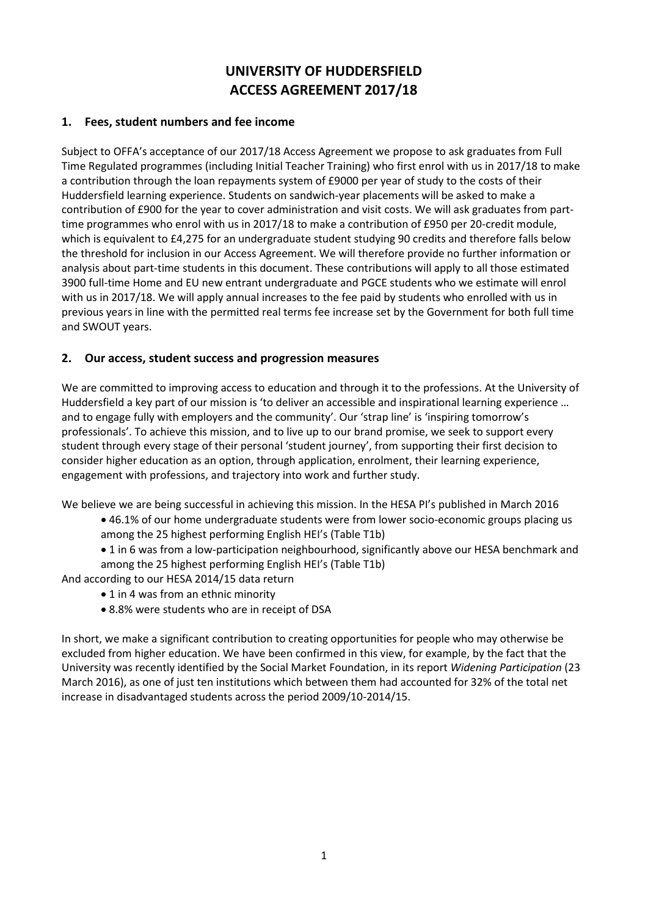# **UNIVERSITY OF HUDDERSFIELD ACCESS AGREEMENT 2017/18**

### **1. Fees, student numbers and fee income**

Subject to OFFA's acceptance of our 2017/18 Access Agreement we propose to ask graduates from Full Time Regulated programmes (including Initial Teacher Training) who first enrol with us in 2017/18 to make a contribution through the loan repayments system of £9000 per year of study to the costs of their Huddersfield learning experience. Students on sandwich-year placements will be asked to make a contribution of £900 for the year to cover administration and visit costs. We will ask graduates from parttime programmes who enrol with us in 2017/18 to make a contribution of £950 per 20-credit module, which is equivalent to £4,275 for an undergraduate student studying 90 credits and therefore falls below the threshold for inclusion in our Access Agreement. We will therefore provide no further information or analysis about part-time students in this document. These contributions will apply to all those estimated 3900 full-time Home and EU new entrant undergraduate and PGCE students who we estimate will enrol with us in 2017/18. We will apply annual increases to the fee paid by students who enrolled with us in previous years in line with the permitted real terms fee increase set by the Government for both full time and SWOUT years.

# **2. Our access, student success and progression measures**

We are committed to improving access to education and through it to the professions. At the University of Huddersfield a key part of our mission is 'to deliver an accessible and inspirational learning experience … and to engage fully with employers and the community'. Our 'strap line' is 'inspiring tomorrow's professionals'. To achieve this mission, and to live up to our brand promise, we seek to support every student through every stage of their personal 'student journey', from supporting their first decision to consider higher education as an option, through application, enrolment, their learning experience, engagement with professions, and trajectory into work and further study.

We believe we are being successful in achieving this mission. In the HESA PI's published in March 2016

- 46.1% of our home undergraduate students were from lower socio-economic groups placing us among the 25 highest performing English HEI's (Table T1b)
- 1 in 6 was from a low-participation neighbourhood, significantly above our HESA benchmark and among the 25 highest performing English HEI's (Table T1b)

And according to our HESA 2014/15 data return

- 1 in 4 was from an ethnic minority
- 8.8% were students who are in receipt of DSA

In short, we make a significant contribution to creating opportunities for people who may otherwise be excluded from higher education. We have been confirmed in this view, for example, by the fact that the University was recently identified by the Social Market Foundation, in its report *Widening Participation* (23 March 2016), as one of just ten institutions which between them had accounted for 32% of the total net increase in disadvantaged students across the period 2009/10-2014/15.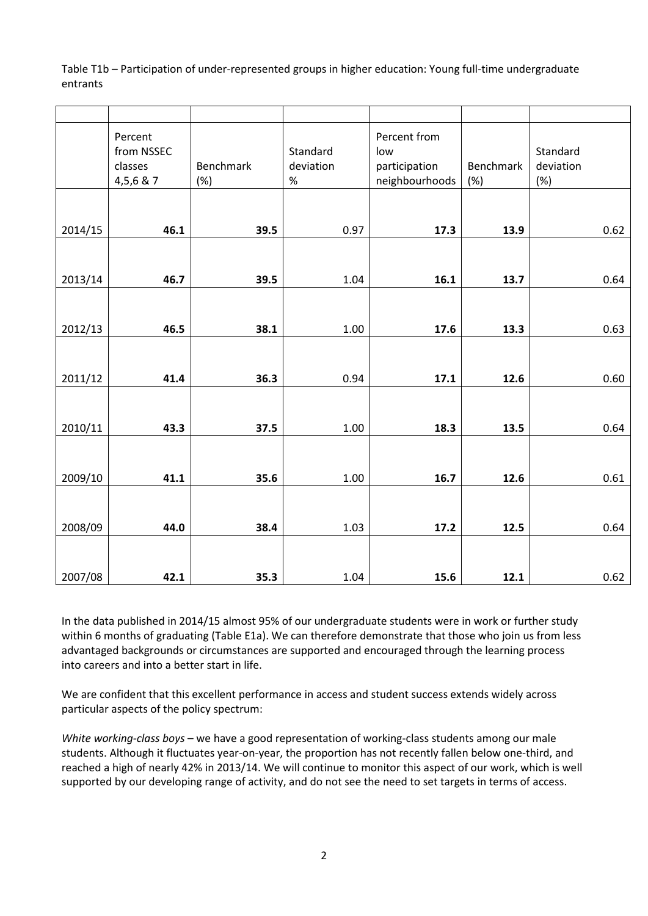Table T1b – Participation of under-represented groups in higher education: Young full-time undergraduate entrants

|         | Percent<br>from NSSEC<br>classes<br>4,5,6 & 7 | Benchmark<br>(%) | Standard<br>deviation<br>$\%$ | Percent from<br>low<br>participation<br>neighbourhoods | Benchmark<br>(%) | Standard<br>deviation<br>$(\%)$ |
|---------|-----------------------------------------------|------------------|-------------------------------|--------------------------------------------------------|------------------|---------------------------------|
|         |                                               |                  |                               |                                                        |                  |                                 |
| 2014/15 | 46.1                                          | 39.5             | 0.97                          | 17.3                                                   | 13.9             | 0.62                            |
|         |                                               |                  |                               |                                                        |                  |                                 |
| 2013/14 | 46.7                                          | 39.5             | 1.04                          | 16.1                                                   | 13.7             | 0.64                            |
|         |                                               |                  |                               |                                                        |                  |                                 |
| 2012/13 | 46.5                                          | 38.1             | 1.00                          | 17.6                                                   | 13.3             | 0.63                            |
|         |                                               |                  |                               |                                                        |                  |                                 |
| 2011/12 | 41.4                                          | 36.3             | 0.94                          | 17.1                                                   | 12.6             | 0.60                            |
|         |                                               |                  |                               |                                                        |                  |                                 |
| 2010/11 | 43.3                                          | 37.5             | 1.00                          | 18.3                                                   | 13.5             | 0.64                            |
|         |                                               |                  |                               |                                                        |                  |                                 |
| 2009/10 | 41.1                                          | 35.6             | 1.00                          | 16.7                                                   | 12.6             | 0.61                            |
|         |                                               |                  |                               |                                                        |                  |                                 |
| 2008/09 | 44.0                                          | 38.4             | 1.03                          | 17.2                                                   | 12.5             | 0.64                            |
|         |                                               |                  |                               |                                                        |                  |                                 |
| 2007/08 | 42.1                                          | 35.3             | 1.04                          | 15.6                                                   | 12.1             | 0.62                            |

In the data published in 2014/15 almost 95% of our undergraduate students were in work or further study within 6 months of graduating (Table E1a). We can therefore demonstrate that those who join us from less advantaged backgrounds or circumstances are supported and encouraged through the learning process into careers and into a better start in life.

We are confident that this excellent performance in access and student success extends widely across particular aspects of the policy spectrum:

*White working-class boys* – we have a good representation of working-class students among our male students. Although it fluctuates year-on-year, the proportion has not recently fallen below one-third, and reached a high of nearly 42% in 2013/14. We will continue to monitor this aspect of our work, which is well supported by our developing range of activity, and do not see the need to set targets in terms of access.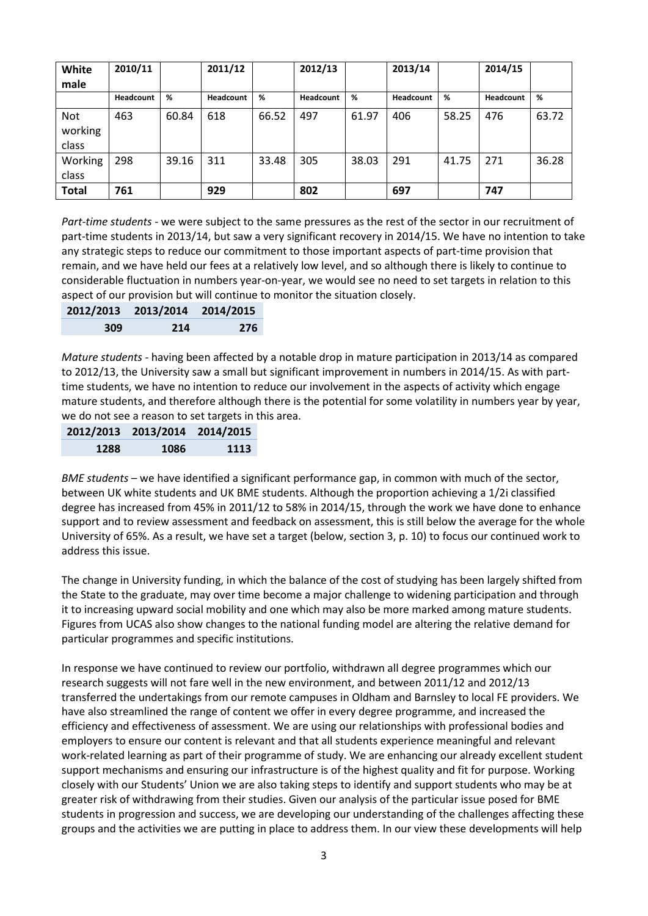| White<br>male                  | 2010/11   |       | 2011/12   |       | 2012/13   |       | 2013/14          |       | 2014/15   |       |
|--------------------------------|-----------|-------|-----------|-------|-----------|-------|------------------|-------|-----------|-------|
|                                | Headcount | %     | Headcount | %     | Headcount | %     | <b>Headcount</b> | %     | Headcount | %     |
| <b>Not</b><br>working<br>class | 463       | 60.84 | 618       | 66.52 | 497       | 61.97 | 406              | 58.25 | 476       | 63.72 |
| Working<br>class               | 298       | 39.16 | 311       | 33.48 | 305       | 38.03 | 291              | 41.75 | 271       | 36.28 |
| <b>Total</b>                   | 761       |       | 929       |       | 802       |       | 697              |       | 747       |       |

*Part-time students* - we were subject to the same pressures as the rest of the sector in our recruitment of part-time students in 2013/14, but saw a very significant recovery in 2014/15. We have no intention to take any strategic steps to reduce our commitment to those important aspects of part-time provision that remain, and we have held our fees at a relatively low level, and so although there is likely to continue to considerable fluctuation in numbers year-on-year, we would see no need to set targets in relation to this aspect of our provision but will continue to monitor the situation closely.

|     | 2012/2013 2013/2014 2014/2015 |     |
|-----|-------------------------------|-----|
| 309 | 214                           | 276 |

*Mature students* - having been affected by a notable drop in mature participation in 2013/14 as compared to 2012/13, the University saw a small but significant improvement in numbers in 2014/15. As with parttime students, we have no intention to reduce our involvement in the aspects of activity which engage mature students, and therefore although there is the potential for some volatility in numbers year by year, we do not see a reason to set targets in this area.

|      | 2012/2013 2013/2014 2014/2015 |      |
|------|-------------------------------|------|
| 1288 | 1086                          | 1113 |

*BME students* – we have identified a significant performance gap, in common with much of the sector, between UK white students and UK BME students. Although the proportion achieving a 1/2i classified degree has increased from 45% in 2011/12 to 58% in 2014/15, through the work we have done to enhance support and to review assessment and feedback on assessment, this is still below the average for the whole University of 65%. As a result, we have set a target (below, section 3, p. 10) to focus our continued work to address this issue.

The change in University funding, in which the balance of the cost of studying has been largely shifted from the State to the graduate, may over time become a major challenge to widening participation and through it to increasing upward social mobility and one which may also be more marked among mature students. Figures from UCAS also show changes to the national funding model are altering the relative demand for particular programmes and specific institutions.

In response we have continued to review our portfolio, withdrawn all degree programmes which our research suggests will not fare well in the new environment, and between 2011/12 and 2012/13 transferred the undertakings from our remote campuses in Oldham and Barnsley to local FE providers. We have also streamlined the range of content we offer in every degree programme, and increased the efficiency and effectiveness of assessment. We are using our relationships with professional bodies and employers to ensure our content is relevant and that all students experience meaningful and relevant work-related learning as part of their programme of study. We are enhancing our already excellent student support mechanisms and ensuring our infrastructure is of the highest quality and fit for purpose. Working closely with our Students' Union we are also taking steps to identify and support students who may be at greater risk of withdrawing from their studies. Given our analysis of the particular issue posed for BME students in progression and success, we are developing our understanding of the challenges affecting these groups and the activities we are putting in place to address them. In our view these developments will help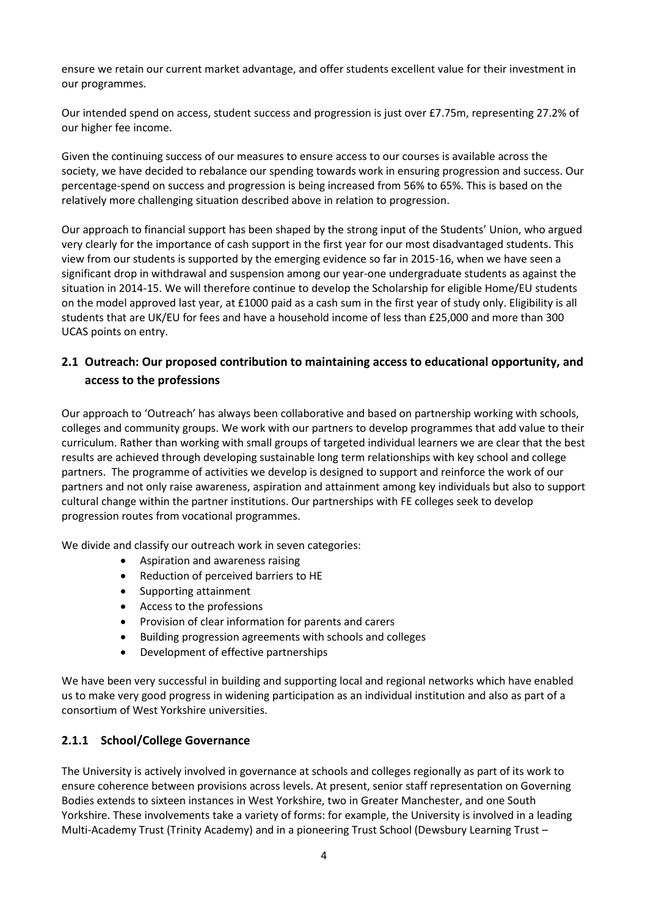ensure we retain our current market advantage, and offer students excellent value for their investment in our programmes.

Our intended spend on access, student success and progression is just over £7.75m, representing 27.2% of our higher fee income.

Given the continuing success of our measures to ensure access to our courses is available across the society, we have decided to rebalance our spending towards work in ensuring progression and success. Our percentage-spend on success and progression is being increased from 56% to 65%. This is based on the relatively more challenging situation described above in relation to progression.

Our approach to financial support has been shaped by the strong input of the Students' Union, who argued very clearly for the importance of cash support in the first year for our most disadvantaged students. This view from our students is supported by the emerging evidence so far in 2015-16, when we have seen a significant drop in withdrawal and suspension among our year-one undergraduate students as against the situation in 2014-15. We will therefore continue to develop the Scholarship for eligible Home/EU students on the model approved last year, at £1000 paid as a cash sum in the first year of study only. Eligibility is all students that are UK/EU for fees and have a household income of less than £25,000 and more than 300 UCAS points on entry.

# **2.1 Outreach: Our proposed contribution to maintaining access to educational opportunity, and access to the professions**

Our approach to 'Outreach' has always been collaborative and based on partnership working with schools, colleges and community groups. We work with our partners to develop programmes that add value to their curriculum. Rather than working with small groups of targeted individual learners we are clear that the best results are achieved through developing sustainable long term relationships with key school and college partners. The programme of activities we develop is designed to support and reinforce the work of our partners and not only raise awareness, aspiration and attainment among key individuals but also to support cultural change within the partner institutions. Our partnerships with FE colleges seek to develop progression routes from vocational programmes.

We divide and classify our outreach work in seven categories:

- Aspiration and awareness raising
- Reduction of perceived barriers to HE
- Supporting attainment
- Access to the professions
- Provision of clear information for parents and carers
- Building progression agreements with schools and colleges
- Development of effective partnerships

We have been very successful in building and supporting local and regional networks which have enabled us to make very good progress in widening participation as an individual institution and also as part of a consortium of West Yorkshire universities.

### **2.1.1 School/College Governance**

The University is actively involved in governance at schools and colleges regionally as part of its work to ensure coherence between provisions across levels. At present, senior staff representation on Governing Bodies extends to sixteen instances in West Yorkshire, two in Greater Manchester, and one South Yorkshire. These involvements take a variety of forms: for example, the University is involved in a leading Multi-Academy Trust (Trinity Academy) and in a pioneering Trust School (Dewsbury Learning Trust –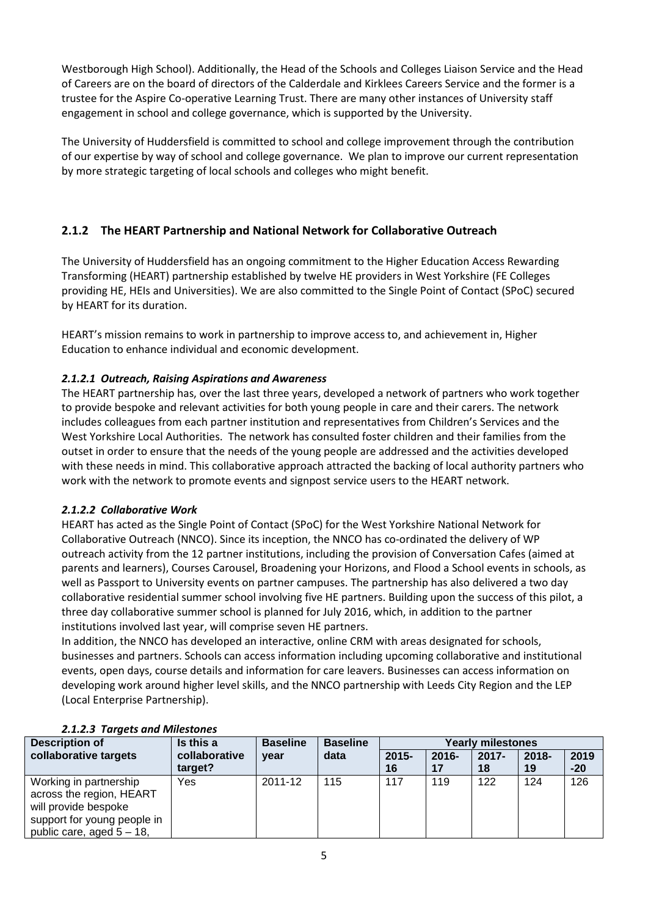Westborough High School). Additionally, the Head of the Schools and Colleges Liaison Service and the Head of Careers are on the board of directors of the Calderdale and Kirklees Careers Service and the former is a trustee for the Aspire Co-operative Learning Trust. There are many other instances of University staff engagement in school and college governance, which is supported by the University.

The University of Huddersfield is committed to school and college improvement through the contribution of our expertise by way of school and college governance. We plan to improve our current representation by more strategic targeting of local schools and colleges who might benefit.

# **2.1.2 The HEART Partnership and National Network for Collaborative Outreach**

The University of Huddersfield has an ongoing commitment to the Higher Education Access Rewarding Transforming (HEART) partnership established by twelve HE providers in West Yorkshire (FE Colleges providing HE, HEIs and Universities). We are also committed to the Single Point of Contact (SPoC) secured by HEART for its duration.

HEART's mission remains to work in partnership to improve access to, and achievement in, Higher Education to enhance individual and economic development.

# *2.1.2.1 Outreach, Raising Aspirations and Awareness*

The HEART partnership has, over the last three years, developed a network of partners who work together to provide bespoke and relevant activities for both young people in care and their carers. The network includes colleagues from each partner institution and representatives from Children's Services and the West Yorkshire Local Authorities. The network has consulted foster children and their families from the outset in order to ensure that the needs of the young people are addressed and the activities developed with these needs in mind. This collaborative approach attracted the backing of local authority partners who work with the network to promote events and signpost service users to the HEART network.

### *2.1.2.2 Collaborative Work*

HEART has acted as the Single Point of Contact (SPoC) for the West Yorkshire National Network for Collaborative Outreach (NNCO). Since its inception, the NNCO has co-ordinated the delivery of WP outreach activity from the 12 partner institutions, including the provision of Conversation Cafes (aimed at parents and learners), Courses Carousel, Broadening your Horizons, and Flood a School events in schools, as well as Passport to University events on partner campuses. The partnership has also delivered a two day collaborative residential summer school involving five HE partners. Building upon the success of this pilot, a three day collaborative summer school is planned for July 2016, which, in addition to the partner institutions involved last year, will comprise seven HE partners.

In addition, the NNCO has developed an interactive, online CRM with areas designated for schools, businesses and partners. Schools can access information including upcoming collaborative and institutional events, open days, course details and information for care leavers. Businesses can access information on developing work around higher level skills, and the NNCO partnership with Leeds City Region and the LEP (Local Enterprise Partnership).

| <b>Description of</b>                                                                                                                     | Is this a     | <b>Baseline</b> | <b>Baseline</b> | <b>Yearly milestones</b> |          |          |          |       |
|-------------------------------------------------------------------------------------------------------------------------------------------|---------------|-----------------|-----------------|--------------------------|----------|----------|----------|-------|
| collaborative targets                                                                                                                     | collaborative | year            | data            | $2015 -$                 | $2016 -$ | $2017 -$ | $2018 -$ | 2019  |
|                                                                                                                                           | target?       |                 |                 | 16                       |          | 18       | 19       | $-20$ |
| Working in partnership<br>across the region, HEART<br>will provide bespoke<br>support for young people in<br>public care, aged $5 - 18$ , | Yes           | 2011-12         | 115             | 117                      | 119      | 122      | 124      | 126   |

### *2.1.2.3 Targets and Milestones*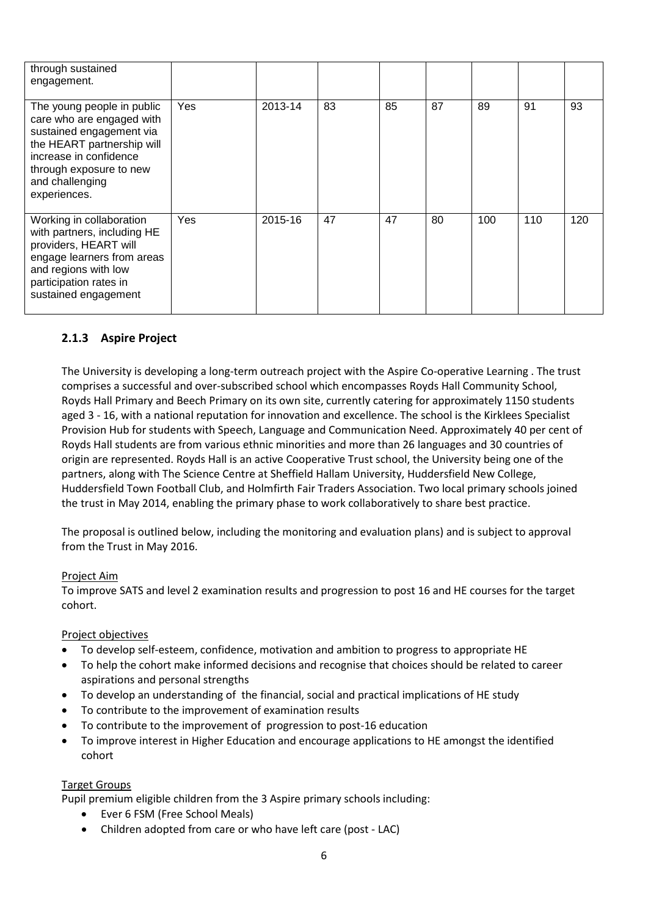| through sustained<br>engagement.                                                                                                                                                                          |            |         |    |    |    |     |     |     |
|-----------------------------------------------------------------------------------------------------------------------------------------------------------------------------------------------------------|------------|---------|----|----|----|-----|-----|-----|
| The young people in public<br>care who are engaged with<br>sustained engagement via<br>the HEART partnership will<br>increase in confidence<br>through exposure to new<br>and challenging<br>experiences. | <b>Yes</b> | 2013-14 | 83 | 85 | 87 | 89  | 91  | 93  |
| Working in collaboration<br>with partners, including HE<br>providers, HEART will<br>engage learners from areas<br>and regions with low<br>participation rates in<br>sustained engagement                  | Yes        | 2015-16 | 47 | 47 | 80 | 100 | 110 | 120 |

# **2.1.3 Aspire Project**

The University is developing a long-term outreach project with the Aspire Co-operative Learning . The trust comprises a successful and over-subscribed school which encompasses Royds Hall Community School, Royds Hall Primary and Beech Primary on its own site, currently catering for approximately 1150 students aged 3 - 16, with a national reputation for innovation and excellence. The school is the Kirklees Specialist Provision Hub for students with Speech, Language and Communication Need. Approximately 40 per cent of Royds Hall students are from various ethnic minorities and more than 26 languages and 30 countries of origin are represented. Royds Hall is an active Cooperative Trust school, the University being one of the partners, along with The Science Centre at Sheffield Hallam University, Huddersfield New College, Huddersfield Town Football Club, and Holmfirth Fair Traders Association. Two local primary schools joined the trust in May 2014, enabling the primary phase to work collaboratively to share best practice.

The proposal is outlined below, including the monitoring and evaluation plans) and is subject to approval from the Trust in May 2016.

### Project Aim

To improve SATS and level 2 examination results and progression to post 16 and HE courses for the target cohort.

#### Project objectives

- To develop self-esteem, confidence, motivation and ambition to progress to appropriate HE
- To help the cohort make informed decisions and recognise that choices should be related to career aspirations and personal strengths
- To develop an understanding of the financial, social and practical implications of HE study
- To contribute to the improvement of examination results
- To contribute to the improvement of progression to post-16 education
- To improve interest in Higher Education and encourage applications to HE amongst the identified cohort

#### Target Groups

Pupil premium eligible children from the 3 Aspire primary schools including:

- Ever 6 FSM (Free School Meals)
- Children adopted from care or who have left care (post LAC)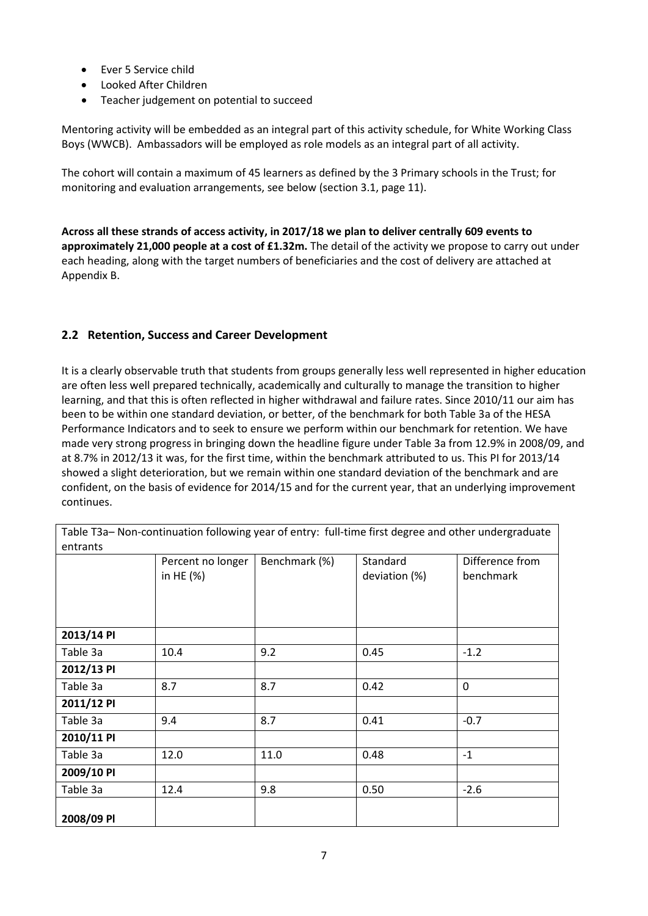- Ever 5 Service child
- Looked After Children
- Teacher judgement on potential to succeed

Mentoring activity will be embedded as an integral part of this activity schedule, for White Working Class Boys (WWCB). Ambassadors will be employed as role models as an integral part of all activity.

The cohort will contain a maximum of 45 learners as defined by the 3 Primary schools in the Trust; for monitoring and evaluation arrangements, see below (section 3.1, page 11).

**Across all these strands of access activity, in 2017/18 we plan to deliver centrally 609 events to approximately 21,000 people at a cost of £1.32m.** The detail of the activity we propose to carry out under each heading, along with the target numbers of beneficiaries and the cost of delivery are attached at Appendix B.

# **2.2 Retention, Success and Career Development**

It is a clearly observable truth that students from groups generally less well represented in higher education are often less well prepared technically, academically and culturally to manage the transition to higher learning, and that this is often reflected in higher withdrawal and failure rates. Since 2010/11 our aim has been to be within one standard deviation, or better, of the benchmark for both Table 3a of the HESA Performance Indicators and to seek to ensure we perform within our benchmark for retention. We have made very strong progress in bringing down the headline figure under Table 3a from 12.9% in 2008/09, and at 8.7% in 2012/13 it was, for the first time, within the benchmark attributed to us. This PI for 2013/14 showed a slight deterioration, but we remain within one standard deviation of the benchmark and are confident, on the basis of evidence for 2014/15 and for the current year, that an underlying improvement continues.

|            | Percent no longer<br>in HE $(%)$ | Benchmark (%) | Standard<br>deviation (%) | Difference from<br>benchmark |
|------------|----------------------------------|---------------|---------------------------|------------------------------|
| 2013/14 PI |                                  |               |                           |                              |
| Table 3a   | 10.4                             | 9.2           | 0.45                      | $-1.2$                       |
| 2012/13 PI |                                  |               |                           |                              |
| Table 3a   | 8.7                              | 8.7           | 0.42                      | $\mathbf 0$                  |
| 2011/12 PI |                                  |               |                           |                              |
| Table 3a   | 9.4                              | 8.7           | 0.41                      | $-0.7$                       |
| 2010/11 PI |                                  |               |                           |                              |
| Table 3a   | 12.0                             | 11.0          | 0.48                      | $-1$                         |
| 2009/10 PI |                                  |               |                           |                              |
| Table 3a   | 12.4                             | 9.8           | 0.50                      | $-2.6$                       |
| 2008/09 PI |                                  |               |                           |                              |

Table T3a– Non-continuation following year of entry: full-time first degree and other undergraduate entrants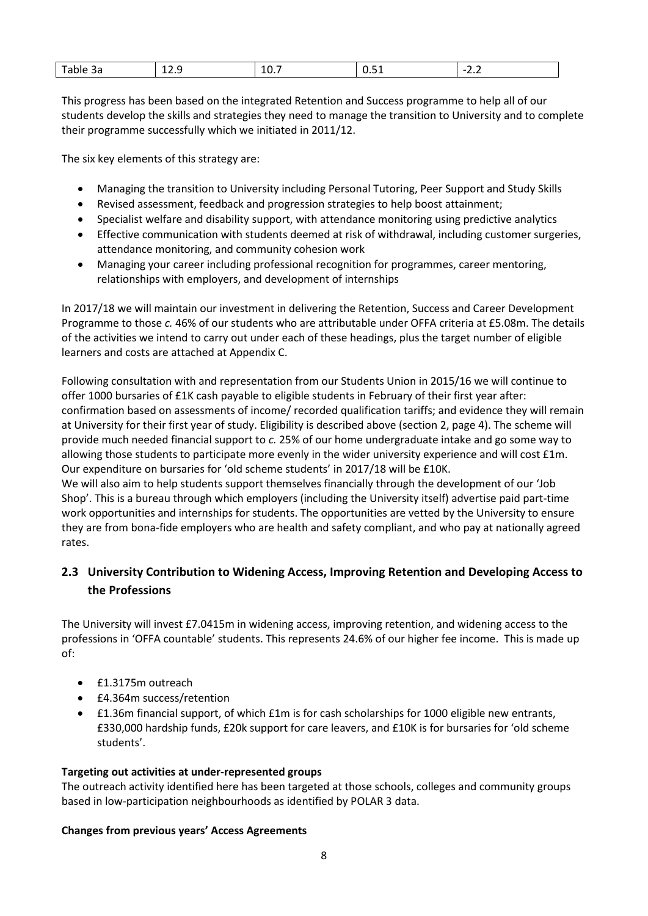| $\sim$<br>эа<br>__ | ---- | $\overline{\phantom{a}}$<br>$- - -$ | $\sim$<br>___ | -<br>$\overline{\phantom{0}}$<br>--- |
|--------------------|------|-------------------------------------|---------------|--------------------------------------|
|                    |      |                                     |               |                                      |

This progress has been based on the integrated Retention and Success programme to help all of our students develop the skills and strategies they need to manage the transition to University and to complete their programme successfully which we initiated in 2011/12.

The six key elements of this strategy are:

- Managing the transition to University including Personal Tutoring, Peer Support and Study Skills
- Revised assessment, feedback and progression strategies to help boost attainment;
- Specialist welfare and disability support, with attendance monitoring using predictive analytics
- Effective communication with students deemed at risk of withdrawal, including customer surgeries, attendance monitoring, and community cohesion work
- Managing your career including professional recognition for programmes, career mentoring, relationships with employers, and development of internships

In 2017/18 we will maintain our investment in delivering the Retention, Success and Career Development Programme to those *c.* 46% of our students who are attributable under OFFA criteria at £5.08m. The details of the activities we intend to carry out under each of these headings, plus the target number of eligible learners and costs are attached at Appendix C.

Following consultation with and representation from our Students Union in 2015/16 we will continue to offer 1000 bursaries of £1K cash payable to eligible students in February of their first year after: confirmation based on assessments of income/ recorded qualification tariffs; and evidence they will remain at University for their first year of study. Eligibility is described above (section 2, page 4). The scheme will provide much needed financial support to *c.* 25% of our home undergraduate intake and go some way to allowing those students to participate more evenly in the wider university experience and will cost £1m. Our expenditure on bursaries for 'old scheme students' in 2017/18 will be £10K.

We will also aim to help students support themselves financially through the development of our 'Job Shop'. This is a bureau through which employers (including the University itself) advertise paid part-time work opportunities and internships for students. The opportunities are vetted by the University to ensure they are from bona-fide employers who are health and safety compliant, and who pay at nationally agreed rates.

# **2.3 University Contribution to Widening Access, Improving Retention and Developing Access to the Professions**

The University will invest £7.0415m in widening access, improving retention, and widening access to the professions in 'OFFA countable' students. This represents 24.6% of our higher fee income. This is made up of:

- £1.3175m outreach
- £4.364m success/retention
- £1.36m financial support, of which £1m is for cash scholarships for 1000 eligible new entrants, £330,000 hardship funds, £20k support for care leavers, and £10K is for bursaries for 'old scheme students'.

#### **Targeting out activities at under-represented groups**

The outreach activity identified here has been targeted at those schools, colleges and community groups based in low-participation neighbourhoods as identified by POLAR 3 data.

#### **Changes from previous years' Access Agreements**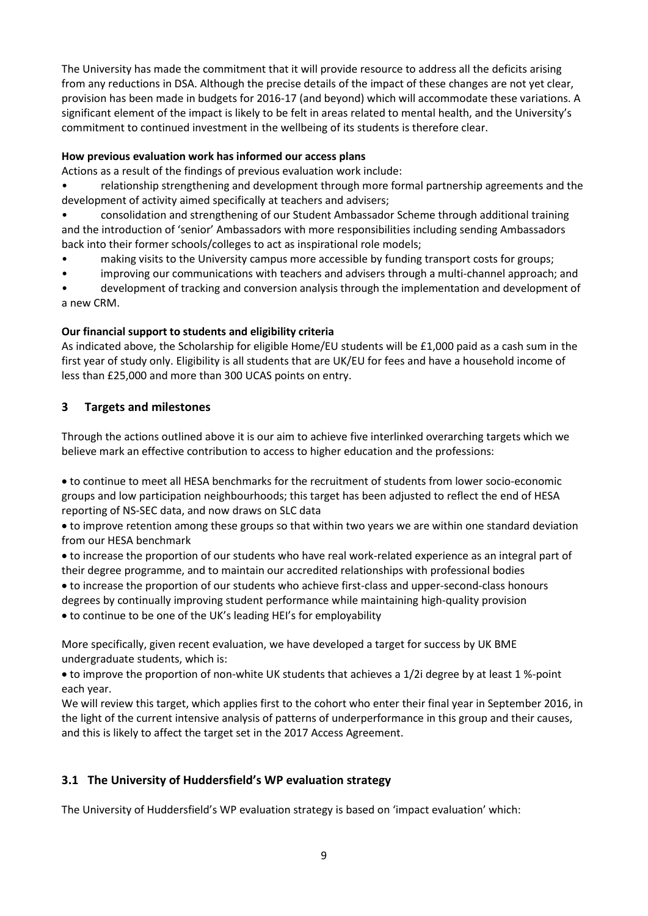The University has made the commitment that it will provide resource to address all the deficits arising from any reductions in DSA. Although the precise details of the impact of these changes are not yet clear, provision has been made in budgets for 2016-17 (and beyond) which will accommodate these variations. A significant element of the impact is likely to be felt in areas related to mental health, and the University's commitment to continued investment in the wellbeing of its students is therefore clear.

### **How previous evaluation work has informed our access plans**

Actions as a result of the findings of previous evaluation work include:

• relationship strengthening and development through more formal partnership agreements and the development of activity aimed specifically at teachers and advisers;

• consolidation and strengthening of our Student Ambassador Scheme through additional training and the introduction of 'senior' Ambassadors with more responsibilities including sending Ambassadors back into their former schools/colleges to act as inspirational role models;

- making visits to the University campus more accessible by funding transport costs for groups;
- improving our communications with teachers and advisers through a multi-channel approach; and

• development of tracking and conversion analysis through the implementation and development of a new CRM.

### **Our financial support to students and eligibility criteria**

As indicated above, the Scholarship for eligible Home/EU students will be £1,000 paid as a cash sum in the first year of study only. Eligibility is all students that are UK/EU for fees and have a household income of less than £25,000 and more than 300 UCAS points on entry.

# **3 Targets and milestones**

Through the actions outlined above it is our aim to achieve five interlinked overarching targets which we believe mark an effective contribution to access to higher education and the professions:

• to continue to meet all HESA benchmarks for the recruitment of students from lower socio-economic groups and low participation neighbourhoods; this target has been adjusted to reflect the end of HESA reporting of NS-SEC data, and now draws on SLC data

• to improve retention among these groups so that within two years we are within one standard deviation from our HESA benchmark

• to increase the proportion of our students who have real work-related experience as an integral part of their degree programme, and to maintain our accredited relationships with professional bodies

• to increase the proportion of our students who achieve first-class and upper-second-class honours degrees by continually improving student performance while maintaining high-quality provision

• to continue to be one of the UK's leading HEI's for employability

More specifically, given recent evaluation, we have developed a target for success by UK BME undergraduate students, which is:

• to improve the proportion of non-white UK students that achieves a 1/2i degree by at least 1 %-point each year.

We will review this target, which applies first to the cohort who enter their final year in September 2016, in the light of the current intensive analysis of patterns of underperformance in this group and their causes, and this is likely to affect the target set in the 2017 Access Agreement.

# **3.1 The University of Huddersfield's WP evaluation strategy**

The University of Huddersfield's WP evaluation strategy is based on 'impact evaluation' which: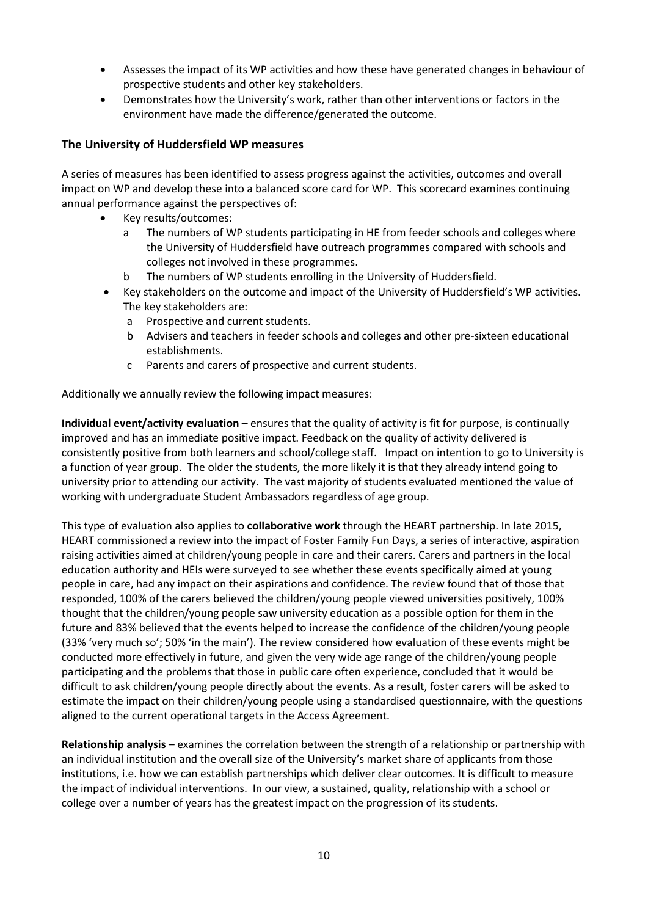- Assesses the impact of its WP activities and how these have generated changes in behaviour of prospective students and other key stakeholders.
- Demonstrates how the University's work, rather than other interventions or factors in the environment have made the difference/generated the outcome.

### **The University of Huddersfield WP measures**

A series of measures has been identified to assess progress against the activities, outcomes and overall impact on WP and develop these into a balanced score card for WP. This scorecard examines continuing annual performance against the perspectives of:

- Key results/outcomes:
	- a The numbers of WP students participating in HE from feeder schools and colleges where the University of Huddersfield have outreach programmes compared with schools and colleges not involved in these programmes.
	- b The numbers of WP students enrolling in the University of Huddersfield.
- Key stakeholders on the outcome and impact of the University of Huddersfield's WP activities. The key stakeholders are:
	- a Prospective and current students.
	- b Advisers and teachers in feeder schools and colleges and other pre-sixteen educational establishments.
	- c Parents and carers of prospective and current students.

Additionally we annually review the following impact measures:

**Individual event/activity evaluation** – ensures that the quality of activity is fit for purpose, is continually improved and has an immediate positive impact. Feedback on the quality of activity delivered is consistently positive from both learners and school/college staff. Impact on intention to go to University is a function of year group. The older the students, the more likely it is that they already intend going to university prior to attending our activity. The vast majority of students evaluated mentioned the value of working with undergraduate Student Ambassadors regardless of age group.

This type of evaluation also applies to **collaborative work** through the HEART partnership. In late 2015, HEART commissioned a review into the impact of Foster Family Fun Days, a series of interactive, aspiration raising activities aimed at children/young people in care and their carers. Carers and partners in the local education authority and HEIs were surveyed to see whether these events specifically aimed at young people in care, had any impact on their aspirations and confidence. The review found that of those that responded, 100% of the carers believed the children/young people viewed universities positively, 100% thought that the children/young people saw university education as a possible option for them in the future and 83% believed that the events helped to increase the confidence of the children/young people (33% 'very much so'; 50% 'in the main'). The review considered how evaluation of these events might be conducted more effectively in future, and given the very wide age range of the children/young people participating and the problems that those in public care often experience, concluded that it would be difficult to ask children/young people directly about the events. As a result, foster carers will be asked to estimate the impact on their children/young people using a standardised questionnaire, with the questions aligned to the current operational targets in the Access Agreement.

**Relationship analysis** – examines the correlation between the strength of a relationship or partnership with an individual institution and the overall size of the University's market share of applicants from those institutions, i.e. how we can establish partnerships which deliver clear outcomes. It is difficult to measure the impact of individual interventions. In our view, a sustained, quality, relationship with a school or college over a number of years has the greatest impact on the progression of its students.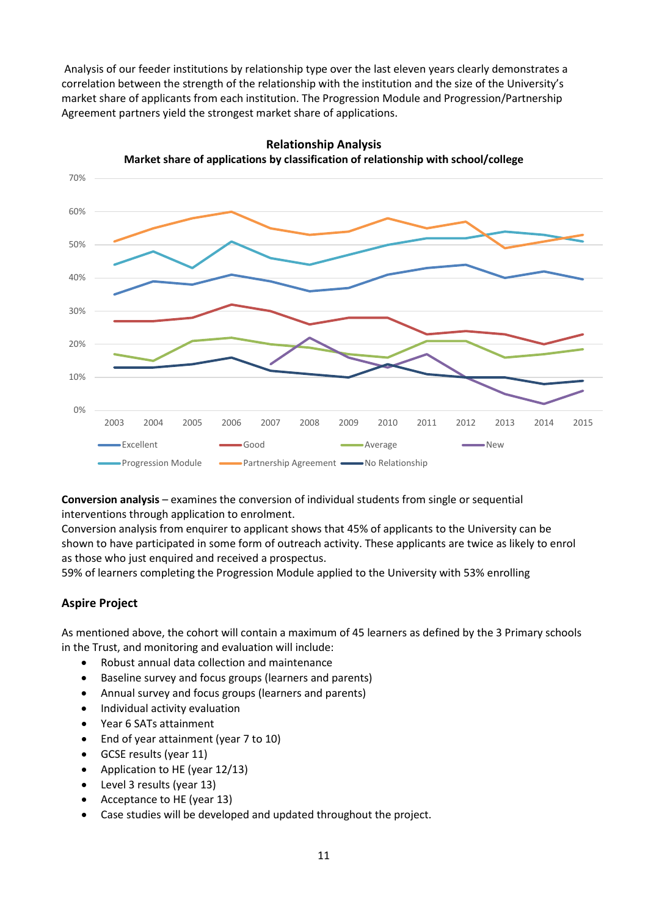Analysis of our feeder institutions by relationship type over the last eleven years clearly demonstrates a correlation between the strength of the relationship with the institution and the size of the University's market share of applicants from each institution. The Progression Module and Progression/Partnership Agreement partners yield the strongest market share of applications.



**Relationship Analysis Market share of applications by classification of relationship with school/college**

**Conversion analysis** – examines the conversion of individual students from single or sequential interventions through application to enrolment.

Conversion analysis from enquirer to applicant shows that 45% of applicants to the University can be shown to have participated in some form of outreach activity. These applicants are twice as likely to enrol as those who just enquired and received a prospectus.

59% of learners completing the Progression Module applied to the University with 53% enrolling

# **Aspire Project**

As mentioned above, the cohort will contain a maximum of 45 learners as defined by the 3 Primary schools in the Trust, and monitoring and evaluation will include:

- Robust annual data collection and maintenance
- Baseline survey and focus groups (learners and parents)
- Annual survey and focus groups (learners and parents)
- Individual activity evaluation
- Year 6 SATs attainment
- End of year attainment (year 7 to 10)
- GCSE results (year 11)
- Application to HE (year 12/13)
- Level 3 results (year 13)
- Acceptance to HE (year 13)
- Case studies will be developed and updated throughout the project.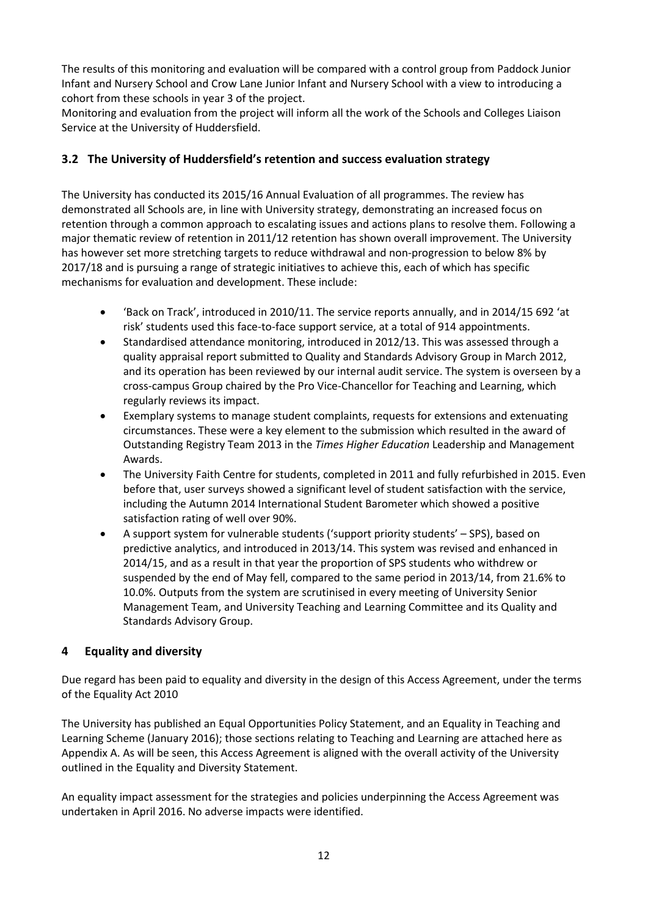The results of this monitoring and evaluation will be compared with a control group from Paddock Junior Infant and Nursery School and Crow Lane Junior Infant and Nursery School with a view to introducing a cohort from these schools in year 3 of the project.

Monitoring and evaluation from the project will inform all the work of the Schools and Colleges Liaison Service at the University of Huddersfield.

# **3.2 The University of Huddersfield's retention and success evaluation strategy**

The University has conducted its 2015/16 Annual Evaluation of all programmes. The review has demonstrated all Schools are, in line with University strategy, demonstrating an increased focus on retention through a common approach to escalating issues and actions plans to resolve them. Following a major thematic review of retention in 2011/12 retention has shown overall improvement. The University has however set more stretching targets to reduce withdrawal and non-progression to below 8% by 2017/18 and is pursuing a range of strategic initiatives to achieve this, each of which has specific mechanisms for evaluation and development. These include:

- 'Back on Track', introduced in 2010/11. The service reports annually, and in 2014/15 692 'at risk' students used this face-to-face support service, at a total of 914 appointments.
- Standardised attendance monitoring, introduced in 2012/13. This was assessed through a quality appraisal report submitted to Quality and Standards Advisory Group in March 2012, and its operation has been reviewed by our internal audit service. The system is overseen by a cross-campus Group chaired by the Pro Vice-Chancellor for Teaching and Learning, which regularly reviews its impact.
- Exemplary systems to manage student complaints, requests for extensions and extenuating circumstances. These were a key element to the submission which resulted in the award of Outstanding Registry Team 2013 in the *Times Higher Education* Leadership and Management Awards.
- The University Faith Centre for students, completed in 2011 and fully refurbished in 2015. Even before that, user surveys showed a significant level of student satisfaction with the service, including the Autumn 2014 International Student Barometer which showed a positive satisfaction rating of well over 90%.
- A support system for vulnerable students ('support priority students' SPS), based on predictive analytics, and introduced in 2013/14. This system was revised and enhanced in 2014/15, and as a result in that year the proportion of SPS students who withdrew or suspended by the end of May fell, compared to the same period in 2013/14, from 21.6% to 10.0%. Outputs from the system are scrutinised in every meeting of University Senior Management Team, and University Teaching and Learning Committee and its Quality and Standards Advisory Group.

### **4 Equality and diversity**

Due regard has been paid to equality and diversity in the design of this Access Agreement, under the terms of the Equality Act 2010

The University has published an Equal Opportunities Policy Statement, and an Equality in Teaching and Learning Scheme (January 2016); those sections relating to Teaching and Learning are attached here as Appendix A. As will be seen, this Access Agreement is aligned with the overall activity of the University outlined in the Equality and Diversity Statement.

An equality impact assessment for the strategies and policies underpinning the Access Agreement was undertaken in April 2016. No adverse impacts were identified.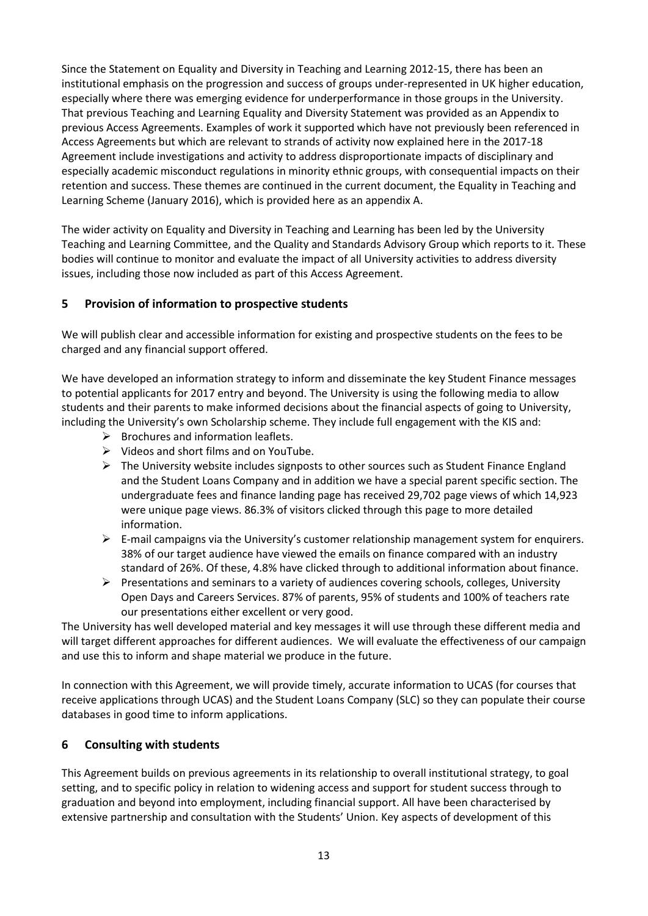Since the Statement on Equality and Diversity in Teaching and Learning 2012-15, there has been an institutional emphasis on the progression and success of groups under-represented in UK higher education, especially where there was emerging evidence for underperformance in those groups in the University. That previous Teaching and Learning Equality and Diversity Statement was provided as an Appendix to previous Access Agreements. Examples of work it supported which have not previously been referenced in Access Agreements but which are relevant to strands of activity now explained here in the 2017-18 Agreement include investigations and activity to address disproportionate impacts of disciplinary and especially academic misconduct regulations in minority ethnic groups, with consequential impacts on their retention and success. These themes are continued in the current document, the Equality in Teaching and Learning Scheme (January 2016), which is provided here as an appendix A.

The wider activity on Equality and Diversity in Teaching and Learning has been led by the University Teaching and Learning Committee, and the Quality and Standards Advisory Group which reports to it. These bodies will continue to monitor and evaluate the impact of all University activities to address diversity issues, including those now included as part of this Access Agreement.

# **5 Provision of information to prospective students**

We will publish clear and accessible information for existing and prospective students on the fees to be charged and any financial support offered.

We have developed an information strategy to inform and disseminate the key Student Finance messages to potential applicants for 2017 entry and beyond. The University is using the following media to allow students and their parents to make informed decisions about the financial aspects of going to University, including the University's own Scholarship scheme. They include full engagement with the KIS and:

- $\triangleright$  Brochures and information leaflets.
- $\triangleright$  Videos and short films and on YouTube.
- $\triangleright$  The University website includes signposts to other sources such as Student Finance England and the Student Loans Company and in addition we have a special parent specific section. The undergraduate fees and finance landing page has received 29,702 page views of which 14,923 were unique page views. 86.3% of visitors clicked through this page to more detailed information.
- $\triangleright$  E-mail campaigns via the University's customer relationship management system for enquirers. 38% of our target audience have viewed the emails on finance compared with an industry standard of 26%. Of these, 4.8% have clicked through to additional information about finance.
- $\triangleright$  Presentations and seminars to a variety of audiences covering schools, colleges, University Open Days and Careers Services. 87% of parents, 95% of students and 100% of teachers rate our presentations either excellent or very good.

The University has well developed material and key messages it will use through these different media and will target different approaches for different audiences. We will evaluate the effectiveness of our campaign and use this to inform and shape material we produce in the future.

In connection with this Agreement, we will provide timely, accurate information to UCAS (for courses that receive applications through UCAS) and the Student Loans Company (SLC) so they can populate their course databases in good time to inform applications.

# **6 Consulting with students**

This Agreement builds on previous agreements in its relationship to overall institutional strategy, to goal setting, and to specific policy in relation to widening access and support for student success through to graduation and beyond into employment, including financial support. All have been characterised by extensive partnership and consultation with the Students' Union. Key aspects of development of this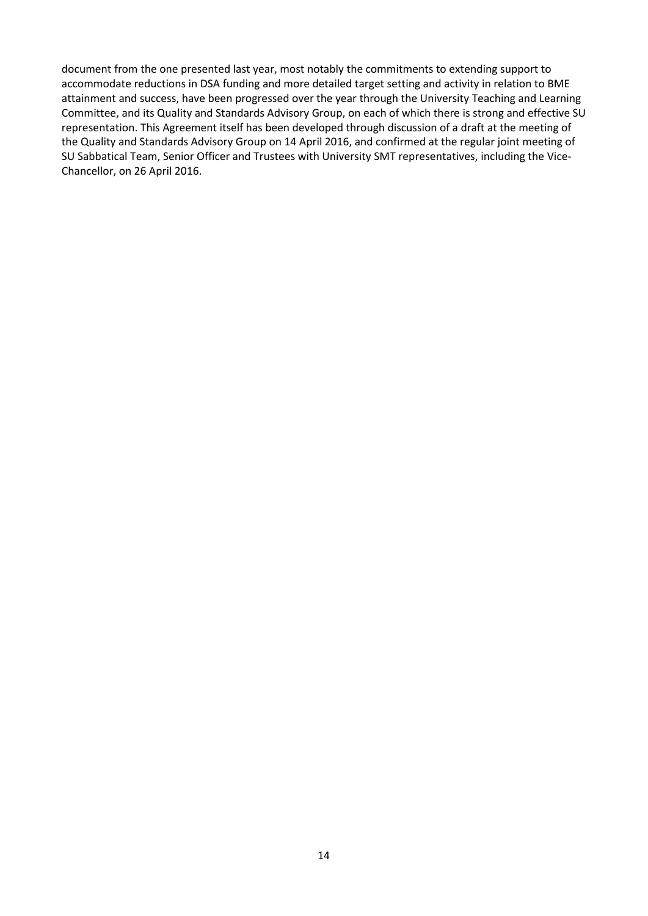document from the one presented last year, most notably the commitments to extending support to accommodate reductions in DSA funding and more detailed target setting and activity in relation to BME attainment and success, have been progressed over the year through the University Teaching and Learning Committee, and its Quality and Standards Advisory Group, on each of which there is strong and effective SU representation. This Agreement itself has been developed through discussion of a draft at the meeting of the Quality and Standards Advisory Group on 14 April 2016, and confirmed at the regular joint meeting of SU Sabbatical Team, Senior Officer and Trustees with University SMT representatives, including the Vice-Chancellor, on 26 April 2016.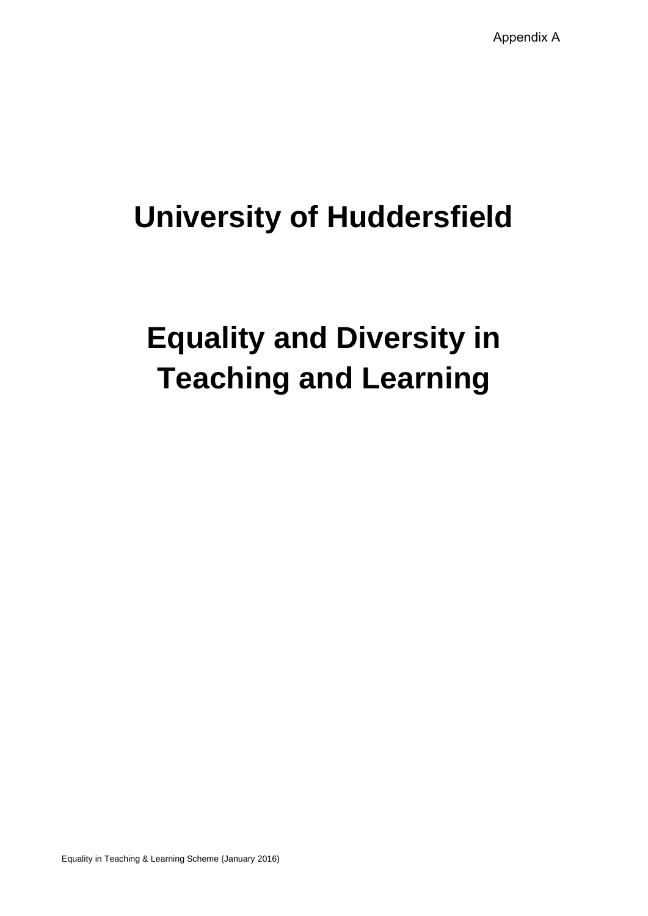# **University of Huddersfield**

# **Equality and Diversity in Teaching and Learning**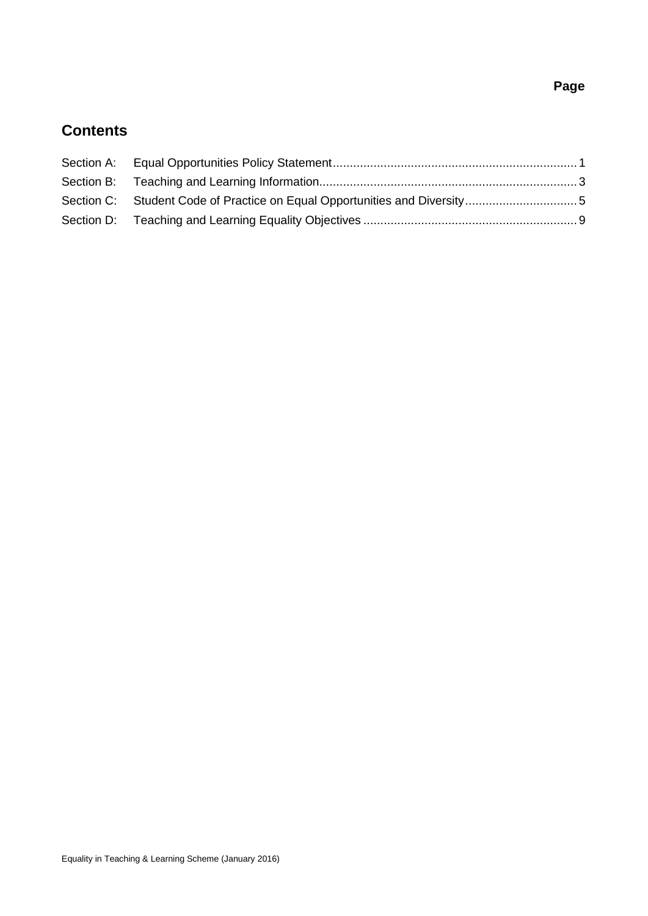# **Page**

# **Contents**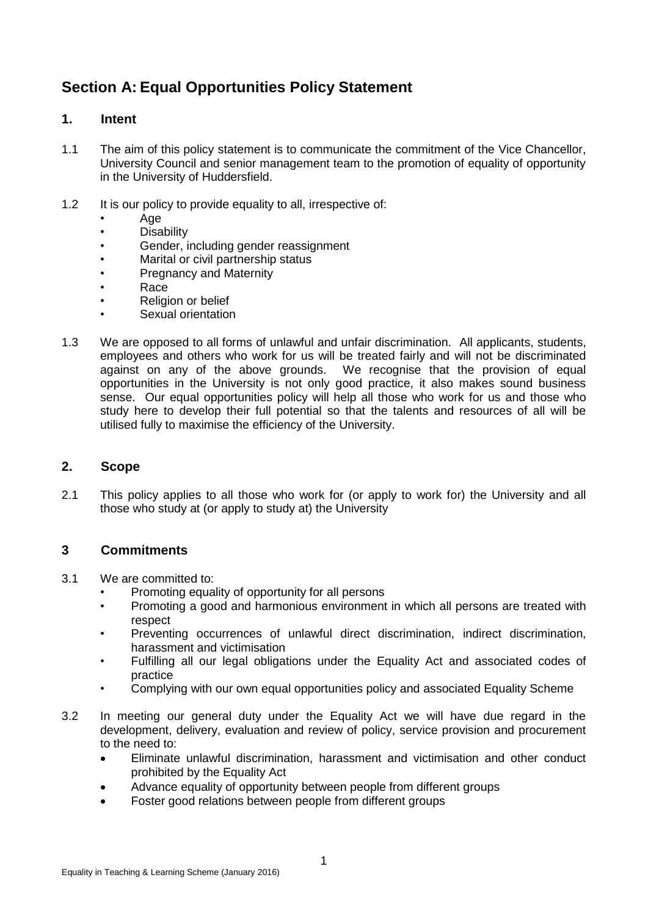# <span id="page-16-0"></span>**Section A: Equal Opportunities Policy Statement**

# **1. Intent**

- 1.1 The aim of this policy statement is to communicate the commitment of the Vice Chancellor, University Council and senior management team to the promotion of equality of opportunity in the University of Huddersfield.
- 1.2 It is our policy to provide equality to all, irrespective of:
	- Age
	- **Disability**
	- Gender, including gender reassignment
	- Marital or civil partnership status
	- Pregnancy and Maternity
	- Race
	- Religion or belief
	- Sexual orientation
- 1.3 We are opposed to all forms of unlawful and unfair discrimination. All applicants, students, employees and others who work for us will be treated fairly and will not be discriminated against on any of the above grounds. We recognise that the provision of equal opportunities in the University is not only good practice, it also makes sound business sense. Our equal opportunities policy will help all those who work for us and those who study here to develop their full potential so that the talents and resources of all will be utilised fully to maximise the efficiency of the University.

### **2. Scope**

2.1 This policy applies to all those who work for (or apply to work for) the University and all those who study at (or apply to study at) the University

# **3 Commitments**

- 3.1 We are committed to:
	- Promoting equality of opportunity for all persons
	- Promoting a good and harmonious environment in which all persons are treated with respect
	- Preventing occurrences of unlawful direct discrimination, indirect discrimination, harassment and victimisation
	- Fulfilling all our legal obligations under the Equality Act and associated codes of practice
	- Complying with our own equal opportunities policy and associated Equality Scheme
- 3.2 In meeting our general duty under the Equality Act we will have due regard in the development, delivery, evaluation and review of policy, service provision and procurement to the need to:
	- Eliminate unlawful discrimination, harassment and victimisation and other conduct prohibited by the Equality Act
	- Advance equality of opportunity between people from different groups
	- Foster good relations between people from different groups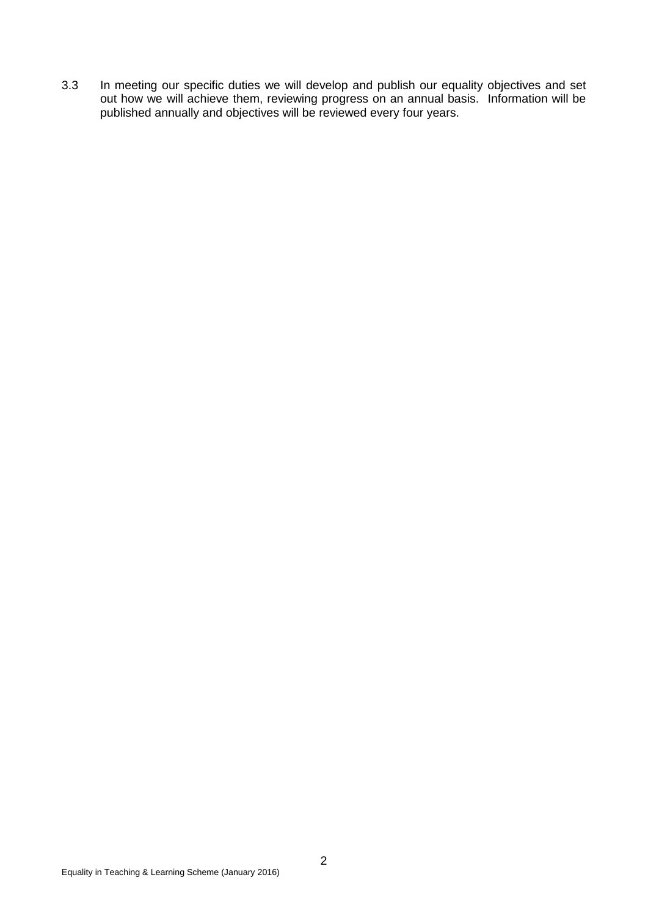3.3 In meeting our specific duties we will develop and publish our equality objectives and set out how we will achieve them, reviewing progress on an annual basis. Information will be published annually and objectives will be reviewed every four years.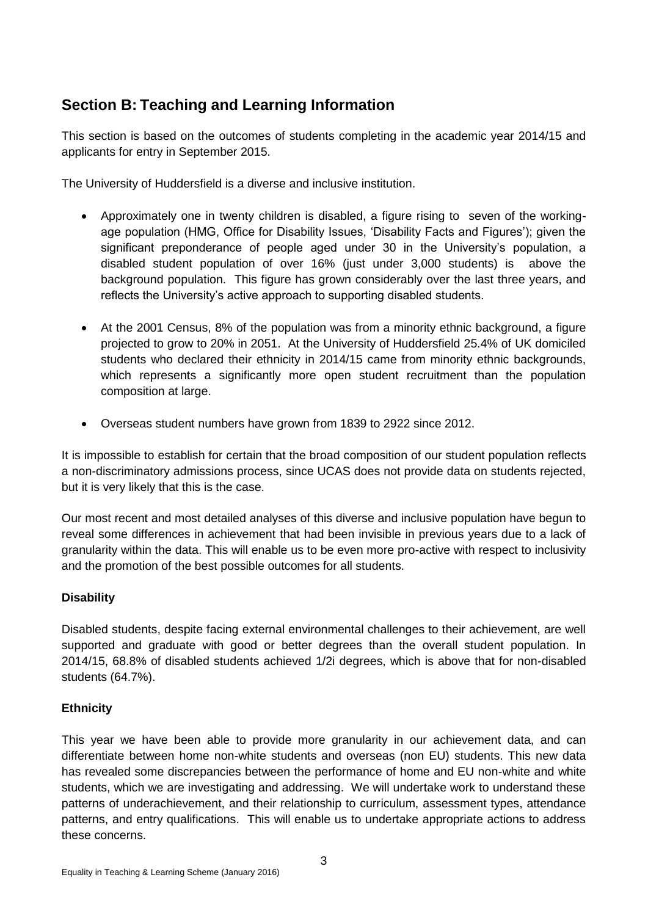# <span id="page-18-0"></span>**Section B: Teaching and Learning Information**

This section is based on the outcomes of students completing in the academic year 2014/15 and applicants for entry in September 2015.

The University of Huddersfield is a diverse and inclusive institution.

- Approximately one in twenty children is disabled, a figure rising to seven of the workingage population (HMG, Office for Disability Issues, 'Disability Facts and Figures'); given the significant preponderance of people aged under 30 in the University's population, a disabled student population of over 16% (just under 3,000 students) is above the background population. This figure has grown considerably over the last three years, and reflects the University's active approach to supporting disabled students.
- At the 2001 Census, 8% of the population was from a minority ethnic background, a figure projected to grow to 20% in 2051. At the University of Huddersfield 25.4% of UK domiciled students who declared their ethnicity in 2014/15 came from minority ethnic backgrounds, which represents a significantly more open student recruitment than the population composition at large.
- Overseas student numbers have grown from 1839 to 2922 since 2012.

It is impossible to establish for certain that the broad composition of our student population reflects a non-discriminatory admissions process, since UCAS does not provide data on students rejected, but it is very likely that this is the case.

Our most recent and most detailed analyses of this diverse and inclusive population have begun to reveal some differences in achievement that had been invisible in previous years due to a lack of granularity within the data. This will enable us to be even more pro-active with respect to inclusivity and the promotion of the best possible outcomes for all students.

# **Disability**

Disabled students, despite facing external environmental challenges to their achievement, are well supported and graduate with good or better degrees than the overall student population. In 2014/15, 68.8% of disabled students achieved 1/2i degrees, which is above that for non-disabled students (64.7%).

# **Ethnicity**

This year we have been able to provide more granularity in our achievement data, and can differentiate between home non-white students and overseas (non EU) students. This new data has revealed some discrepancies between the performance of home and EU non-white and white students, which we are investigating and addressing. We will undertake work to understand these patterns of underachievement, and their relationship to curriculum, assessment types, attendance patterns, and entry qualifications. This will enable us to undertake appropriate actions to address these concerns.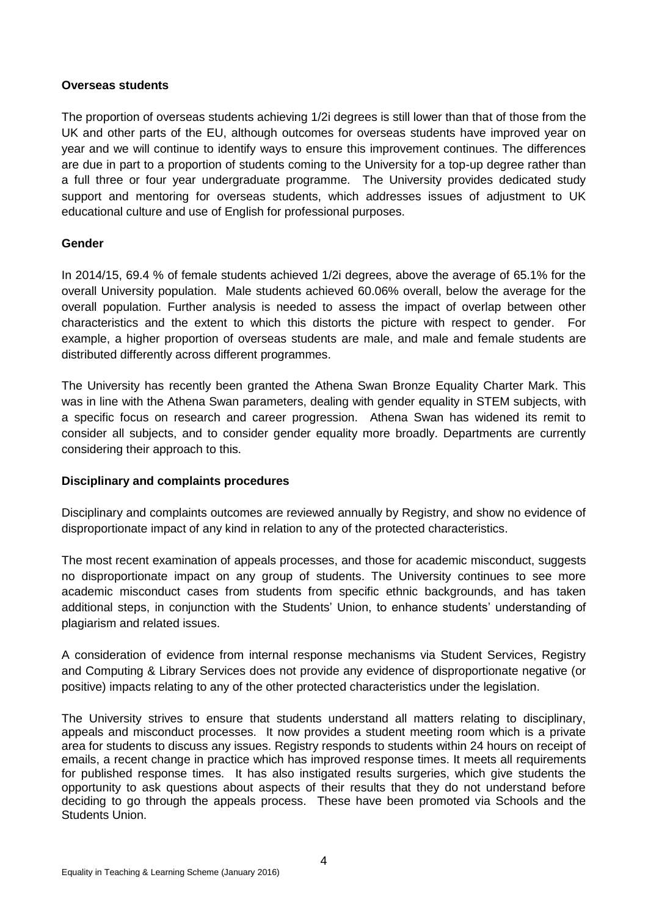### **Overseas students**

The proportion of overseas students achieving 1/2i degrees is still lower than that of those from the UK and other parts of the EU, although outcomes for overseas students have improved year on year and we will continue to identify ways to ensure this improvement continues. The differences are due in part to a proportion of students coming to the University for a top-up degree rather than a full three or four year undergraduate programme. The University provides dedicated study support and mentoring for overseas students, which addresses issues of adjustment to UK educational culture and use of English for professional purposes.

### **Gender**

In 2014/15, 69.4 % of female students achieved 1/2i degrees, above the average of 65.1% for the overall University population. Male students achieved 60.06% overall, below the average for the overall population. Further analysis is needed to assess the impact of overlap between other characteristics and the extent to which this distorts the picture with respect to gender. For example, a higher proportion of overseas students are male, and male and female students are distributed differently across different programmes.

The University has recently been granted the Athena Swan Bronze Equality Charter Mark. This was in line with the Athena Swan parameters, dealing with gender equality in STEM subjects, with a specific focus on research and career progression. Athena Swan has widened its remit to consider all subjects, and to consider gender equality more broadly. Departments are currently considering their approach to this.

### **Disciplinary and complaints procedures**

Disciplinary and complaints outcomes are reviewed annually by Registry, and show no evidence of disproportionate impact of any kind in relation to any of the protected characteristics.

The most recent examination of appeals processes, and those for academic misconduct, suggests no disproportionate impact on any group of students. The University continues to see more academic misconduct cases from students from specific ethnic backgrounds, and has taken additional steps, in conjunction with the Students' Union, to enhance students' understanding of plagiarism and related issues.

A consideration of evidence from internal response mechanisms via Student Services, Registry and Computing & Library Services does not provide any evidence of disproportionate negative (or positive) impacts relating to any of the other protected characteristics under the legislation.

The University strives to ensure that students understand all matters relating to disciplinary, appeals and misconduct processes. It now provides a student meeting room which is a private area for students to discuss any issues. Registry responds to students within 24 hours on receipt of emails, a recent change in practice which has improved response times. It meets all requirements for published response times. It has also instigated results surgeries, which give students the opportunity to ask questions about aspects of their results that they do not understand before deciding to go through the appeals process. These have been promoted via Schools and the Students Union.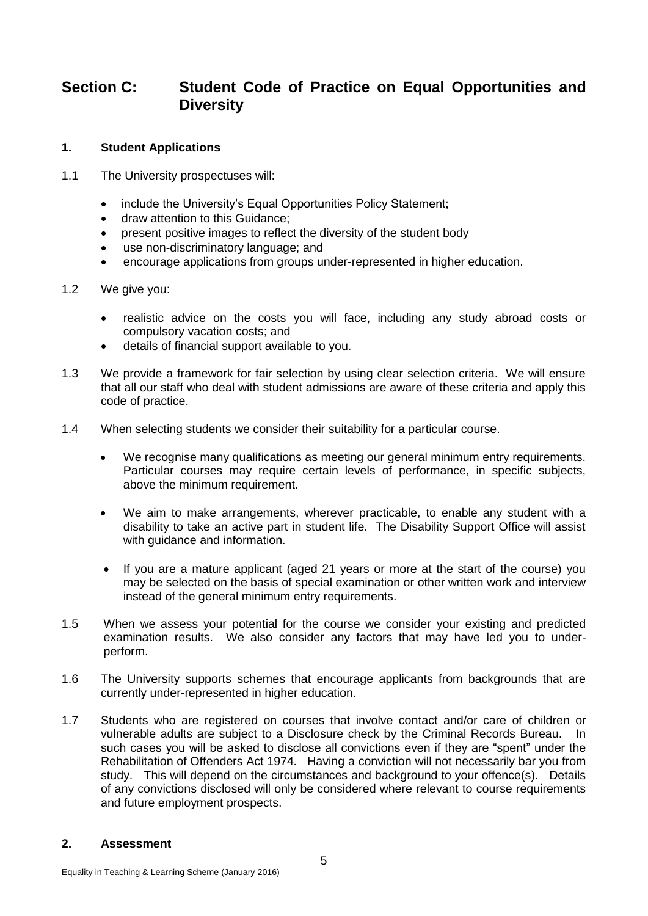# <span id="page-20-0"></span>**Section C: Student Code of Practice on Equal Opportunities and Diversity**

### **1. Student Applications**

- 1.1 The University prospectuses will:
	- include the University's Equal Opportunities Policy Statement;
	- draw attention to this Guidance;
	- present positive images to reflect the diversity of the student body
	- use non-discriminatory language; and
	- encourage applications from groups under-represented in higher education.
- 1.2 We give you:
	- realistic advice on the costs you will face, including any study abroad costs or compulsory vacation costs; and
	- details of financial support available to you.
- 1.3 We provide a framework for fair selection by using clear selection criteria. We will ensure that all our staff who deal with student admissions are aware of these criteria and apply this code of practice.
- 1.4 When selecting students we consider their suitability for a particular course.
	- We recognise many qualifications as meeting our general minimum entry requirements. Particular courses may require certain levels of performance, in specific subjects, above the minimum requirement.
	- We aim to make arrangements, wherever practicable, to enable any student with a disability to take an active part in student life. The Disability Support Office will assist with guidance and information.
	- If you are a mature applicant (aged 21 years or more at the start of the course) you may be selected on the basis of special examination or other written work and interview instead of the general minimum entry requirements.
- 1.5 When we assess your potential for the course we consider your existing and predicted examination results. We also consider any factors that may have led you to underperform.
- 1.6 The University supports schemes that encourage applicants from backgrounds that are currently under-represented in higher education.
- 1.7 Students who are registered on courses that involve contact and/or care of children or vulnerable adults are subject to a Disclosure check by the Criminal Records Bureau. In such cases you will be asked to disclose all convictions even if they are "spent" under the Rehabilitation of Offenders Act 1974. Having a conviction will not necessarily bar you from study. This will depend on the circumstances and background to your offence(s). Details of any convictions disclosed will only be considered where relevant to course requirements and future employment prospects.

#### **2. Assessment**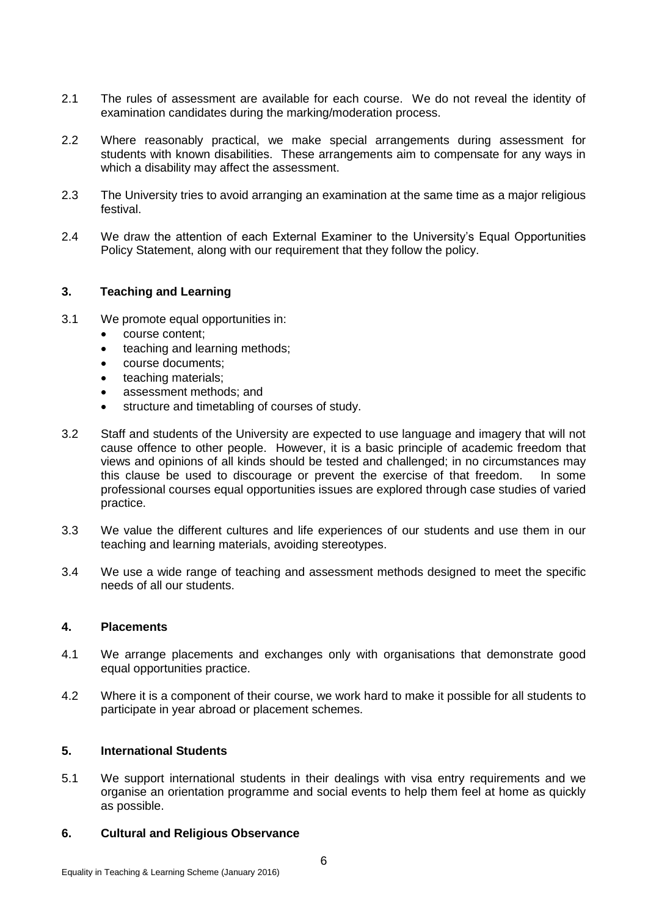- 2.1 The rules of assessment are available for each course. We do not reveal the identity of examination candidates during the marking/moderation process.
- 2.2 Where reasonably practical, we make special arrangements during assessment for students with known disabilities. These arrangements aim to compensate for any ways in which a disability may affect the assessment.
- 2.3 The University tries to avoid arranging an examination at the same time as a major religious festival.
- 2.4 We draw the attention of each External Examiner to the University's Equal Opportunities Policy Statement, along with our requirement that they follow the policy.

### **3. Teaching and Learning**

- 3.1 We promote equal opportunities in:
	- course content;
	- teaching and learning methods;
	- course documents;
	- teaching materials;
	- assessment methods; and
	- structure and timetabling of courses of study.
- 3.2 Staff and students of the University are expected to use language and imagery that will not cause offence to other people. However, it is a basic principle of academic freedom that views and opinions of all kinds should be tested and challenged; in no circumstances may this clause be used to discourage or prevent the exercise of that freedom. In some professional courses equal opportunities issues are explored through case studies of varied practice.
- 3.3 We value the different cultures and life experiences of our students and use them in our teaching and learning materials, avoiding stereotypes.
- 3.4 We use a wide range of teaching and assessment methods designed to meet the specific needs of all our students.

### **4. Placements**

- 4.1 We arrange placements and exchanges only with organisations that demonstrate good equal opportunities practice.
- 4.2 Where it is a component of their course, we work hard to make it possible for all students to participate in year abroad or placement schemes.

#### **5. International Students**

5.1 We support international students in their dealings with visa entry requirements and we organise an orientation programme and social events to help them feel at home as quickly as possible.

#### **6. Cultural and Religious Observance**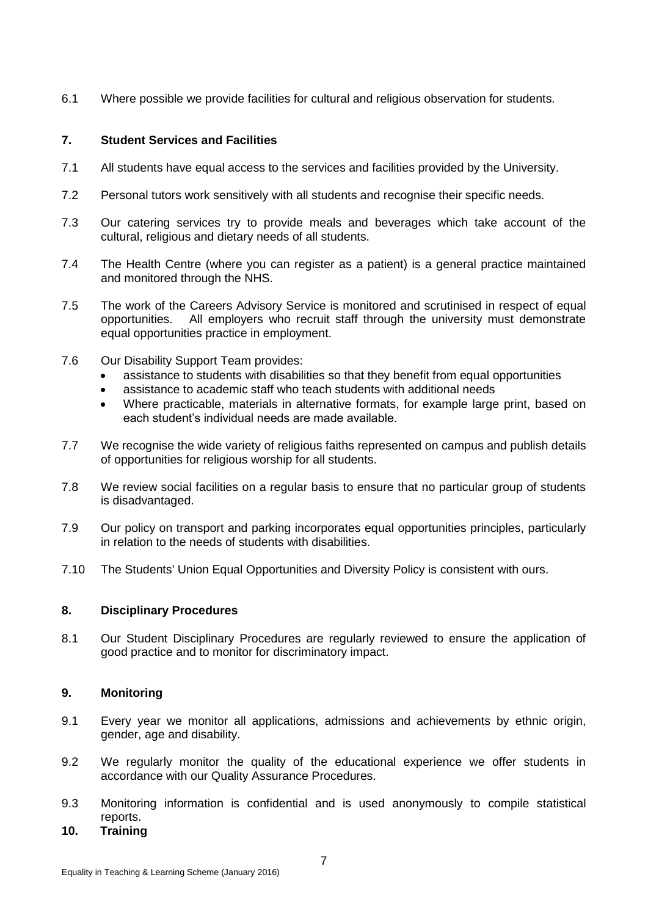6.1 Where possible we provide facilities for cultural and religious observation for students.

### **7. Student Services and Facilities**

- 7.1 All students have equal access to the services and facilities provided by the University.
- 7.2 Personal tutors work sensitively with all students and recognise their specific needs.
- 7.3 Our catering services try to provide meals and beverages which take account of the cultural, religious and dietary needs of all students.
- 7.4 The Health Centre (where you can register as a patient) is a general practice maintained and monitored through the NHS.
- 7.5 The work of the Careers Advisory Service is monitored and scrutinised in respect of equal opportunities. All employers who recruit staff through the university must demonstrate equal opportunities practice in employment.
- 7.6 Our Disability Support Team provides:
	- assistance to students with disabilities so that they benefit from equal opportunities
	- assistance to academic staff who teach students with additional needs
	- Where practicable, materials in alternative formats, for example large print, based on each student's individual needs are made available.
- 7.7 We recognise the wide variety of religious faiths represented on campus and publish details of opportunities for religious worship for all students.
- 7.8 We review social facilities on a regular basis to ensure that no particular group of students is disadvantaged.
- 7.9 Our policy on transport and parking incorporates equal opportunities principles, particularly in relation to the needs of students with disabilities.
- 7.10 The Students' Union Equal Opportunities and Diversity Policy is consistent with ours.

### **8. Disciplinary Procedures**

8.1 Our Student Disciplinary Procedures are regularly reviewed to ensure the application of good practice and to monitor for discriminatory impact.

### **9. Monitoring**

- 9.1 Every year we monitor all applications, admissions and achievements by ethnic origin, gender, age and disability.
- 9.2 We regularly monitor the quality of the educational experience we offer students in accordance with our Quality Assurance Procedures.
- 9.3 Monitoring information is confidential and is used anonymously to compile statistical reports.
- **10. Training**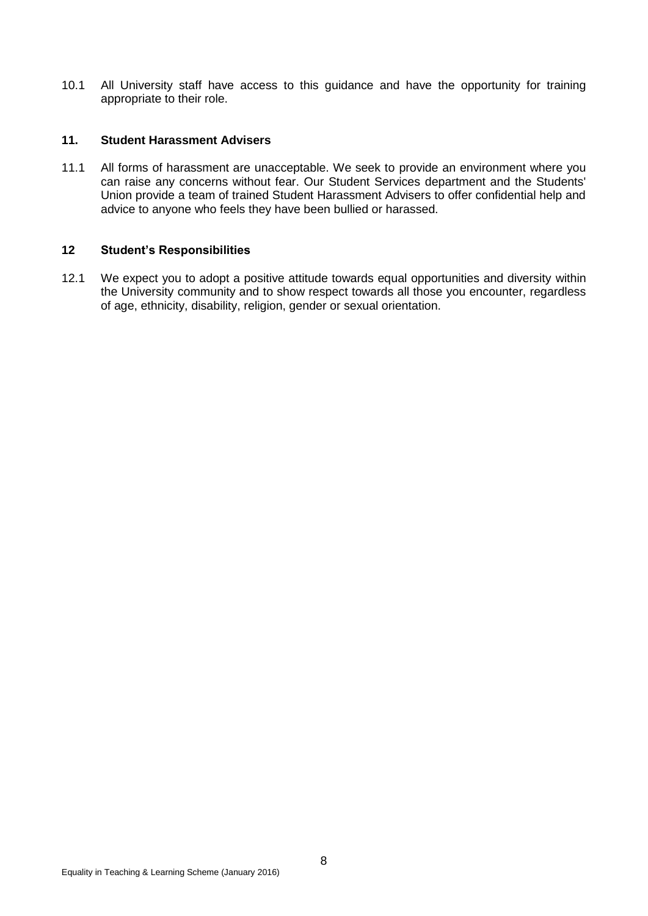10.1 All University staff have access to this guidance and have the opportunity for training appropriate to their role.

#### **11. Student Harassment Advisers**

11.1 All forms of harassment are unacceptable. We seek to provide an environment where you can raise any concerns without fear. Our Student Services department and the Students' Union provide a team of trained Student Harassment Advisers to offer confidential help and advice to anyone who feels they have been bullied or harassed.

### **12 Student's Responsibilities**

12.1 We expect you to adopt a positive attitude towards equal opportunities and diversity within the University community and to show respect towards all those you encounter, regardless of age, ethnicity, disability, religion, gender or sexual orientation.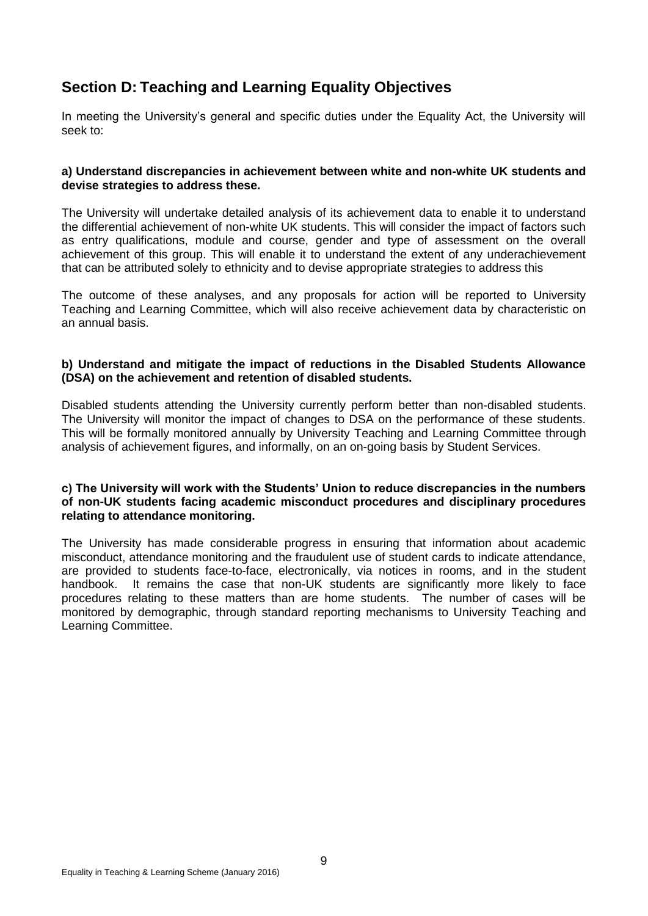# <span id="page-24-0"></span>**Section D: Teaching and Learning Equality Objectives**

In meeting the University's general and specific duties under the Equality Act, the University will seek to:

### **a) Understand discrepancies in achievement between white and non-white UK students and devise strategies to address these.**

The University will undertake detailed analysis of its achievement data to enable it to understand the differential achievement of non-white UK students. This will consider the impact of factors such as entry qualifications, module and course, gender and type of assessment on the overall achievement of this group. This will enable it to understand the extent of any underachievement that can be attributed solely to ethnicity and to devise appropriate strategies to address this

The outcome of these analyses, and any proposals for action will be reported to University Teaching and Learning Committee, which will also receive achievement data by characteristic on an annual basis.

#### **b) Understand and mitigate the impact of reductions in the Disabled Students Allowance (DSA) on the achievement and retention of disabled students.**

Disabled students attending the University currently perform better than non-disabled students. The University will monitor the impact of changes to DSA on the performance of these students. This will be formally monitored annually by University Teaching and Learning Committee through analysis of achievement figures, and informally, on an on-going basis by Student Services.

#### **c) The University will work with the Students' Union to reduce discrepancies in the numbers of non-UK students facing academic misconduct procedures and disciplinary procedures relating to attendance monitoring.**

The University has made considerable progress in ensuring that information about academic misconduct, attendance monitoring and the fraudulent use of student cards to indicate attendance, are provided to students face-to-face, electronically, via notices in rooms, and in the student handbook. It remains the case that non-UK students are significantly more likely to face procedures relating to these matters than are home students. The number of cases will be monitored by demographic, through standard reporting mechanisms to University Teaching and Learning Committee.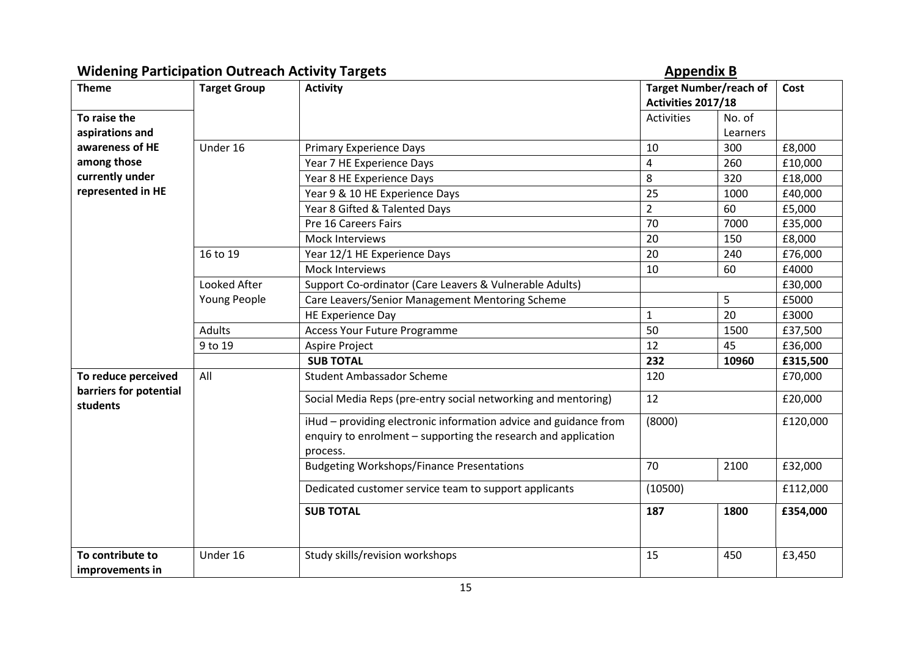| <b>Widening Participation Outreach Activity Targets</b> |                     |                                                                                                                                                | <b>Appendix B</b>                                   |                    |          |
|---------------------------------------------------------|---------------------|------------------------------------------------------------------------------------------------------------------------------------------------|-----------------------------------------------------|--------------------|----------|
| <b>Theme</b>                                            | <b>Target Group</b> | <b>Activity</b>                                                                                                                                | <b>Target Number/reach of</b><br>Activities 2017/18 |                    | Cost     |
| To raise the<br>aspirations and                         |                     |                                                                                                                                                | <b>Activities</b>                                   | No. of<br>Learners |          |
| awareness of HE                                         | Under 16            | <b>Primary Experience Days</b>                                                                                                                 | 10                                                  | 300                | £8,000   |
| among those                                             |                     | Year 7 HE Experience Days                                                                                                                      | 4                                                   | 260                | £10,000  |
| currently under                                         |                     | Year 8 HE Experience Days                                                                                                                      | 8                                                   | 320                | £18,000  |
| represented in HE                                       |                     | Year 9 & 10 HE Experience Days                                                                                                                 | 25                                                  | 1000               | £40,000  |
|                                                         |                     | Year 8 Gifted & Talented Days                                                                                                                  | $\overline{2}$                                      | 60                 | £5,000   |
|                                                         |                     | Pre 16 Careers Fairs                                                                                                                           | 70                                                  | 7000               | £35,000  |
|                                                         |                     | Mock Interviews                                                                                                                                | 20                                                  | 150                | £8,000   |
|                                                         | 16 to 19            | Year 12/1 HE Experience Days                                                                                                                   | 20                                                  | 240                | £76,000  |
|                                                         |                     | Mock Interviews                                                                                                                                | 10                                                  | 60                 | £4000    |
|                                                         | Looked After        | Support Co-ordinator (Care Leavers & Vulnerable Adults)                                                                                        |                                                     |                    | £30,000  |
|                                                         | Young People        | Care Leavers/Senior Management Mentoring Scheme                                                                                                |                                                     | 5                  | £5000    |
|                                                         |                     | <b>HE Experience Day</b>                                                                                                                       | $\mathbf{1}$                                        | 20                 | £3000    |
|                                                         | <b>Adults</b>       | <b>Access Your Future Programme</b>                                                                                                            | 50                                                  | 1500               | £37,500  |
|                                                         | 9 to 19             | Aspire Project                                                                                                                                 | 12                                                  | 45                 | £36,000  |
|                                                         |                     | <b>SUB TOTAL</b>                                                                                                                               | 232                                                 | 10960              | £315,500 |
| To reduce perceived                                     | All                 | <b>Student Ambassador Scheme</b>                                                                                                               | 120                                                 |                    | £70,000  |
| barriers for potential<br>students                      |                     | Social Media Reps (pre-entry social networking and mentoring)                                                                                  | 12                                                  |                    | £20,000  |
|                                                         |                     | iHud - providing electronic information advice and guidance from<br>enquiry to enrolment - supporting the research and application<br>process. | (8000)                                              |                    | £120,000 |
|                                                         |                     | <b>Budgeting Workshops/Finance Presentations</b>                                                                                               | 70                                                  | 2100               | £32,000  |
|                                                         |                     | Dedicated customer service team to support applicants                                                                                          | (10500)                                             |                    | £112,000 |
|                                                         |                     | <b>SUB TOTAL</b>                                                                                                                               | 187                                                 | 1800               | £354,000 |
| To contribute to<br>improvements in                     | Under 16            | Study skills/revision workshops                                                                                                                | 15                                                  | 450                | £3,450   |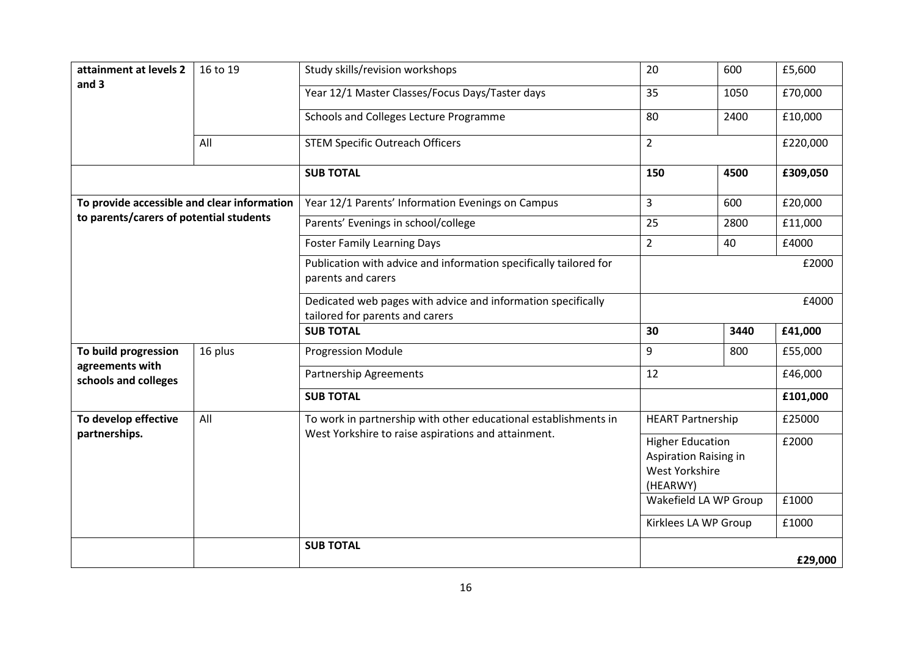| attainment at levels 2                      | 16 to 19 | Study skills/revision workshops                                                                 | 20                                                                             | 600   | £5,600   |  |
|---------------------------------------------|----------|-------------------------------------------------------------------------------------------------|--------------------------------------------------------------------------------|-------|----------|--|
| and 3                                       |          | Year 12/1 Master Classes/Focus Days/Taster days                                                 | 35                                                                             | 1050  | £70,000  |  |
|                                             |          | Schools and Colleges Lecture Programme                                                          | 80                                                                             | 2400  | £10,000  |  |
|                                             | All      | <b>STEM Specific Outreach Officers</b>                                                          | $\overline{2}$                                                                 |       | £220,000 |  |
|                                             |          | <b>SUB TOTAL</b>                                                                                | 150                                                                            | 4500  | £309,050 |  |
| To provide accessible and clear information |          | Year 12/1 Parents' Information Evenings on Campus                                               | $\overline{3}$                                                                 | 600   | £20,000  |  |
| to parents/carers of potential students     |          | Parents' Evenings in school/college                                                             | 25                                                                             | 2800  | £11,000  |  |
|                                             |          | <b>Foster Family Learning Days</b>                                                              | $\overline{2}$                                                                 | 40    | £4000    |  |
|                                             |          | Publication with advice and information specifically tailored for<br>parents and carers         |                                                                                | £2000 |          |  |
|                                             |          | Dedicated web pages with advice and information specifically<br>tailored for parents and carers |                                                                                |       | £4000    |  |
|                                             |          | <b>SUB TOTAL</b>                                                                                | 30                                                                             | 3440  | £41,000  |  |
| To build progression                        | 16 plus  | <b>Progression Module</b>                                                                       | 9                                                                              | 800   | £55,000  |  |
| agreements with<br>schools and colleges     |          | <b>Partnership Agreements</b>                                                                   | 12                                                                             |       | £46,000  |  |
|                                             |          | <b>SUB TOTAL</b>                                                                                |                                                                                |       | £101,000 |  |
| To develop effective                        | All      | To work in partnership with other educational establishments in                                 | <b>HEART Partnership</b>                                                       |       | £25000   |  |
| partnerships.                               |          | West Yorkshire to raise aspirations and attainment.                                             | <b>Higher Education</b><br>Aspiration Raising in<br>West Yorkshire<br>(HEARWY) |       | £2000    |  |
|                                             |          |                                                                                                 | Wakefield LA WP Group                                                          |       | £1000    |  |
|                                             |          |                                                                                                 | Kirklees LA WP Group                                                           |       | £1000    |  |
|                                             |          | <b>SUB TOTAL</b>                                                                                |                                                                                |       | £29,000  |  |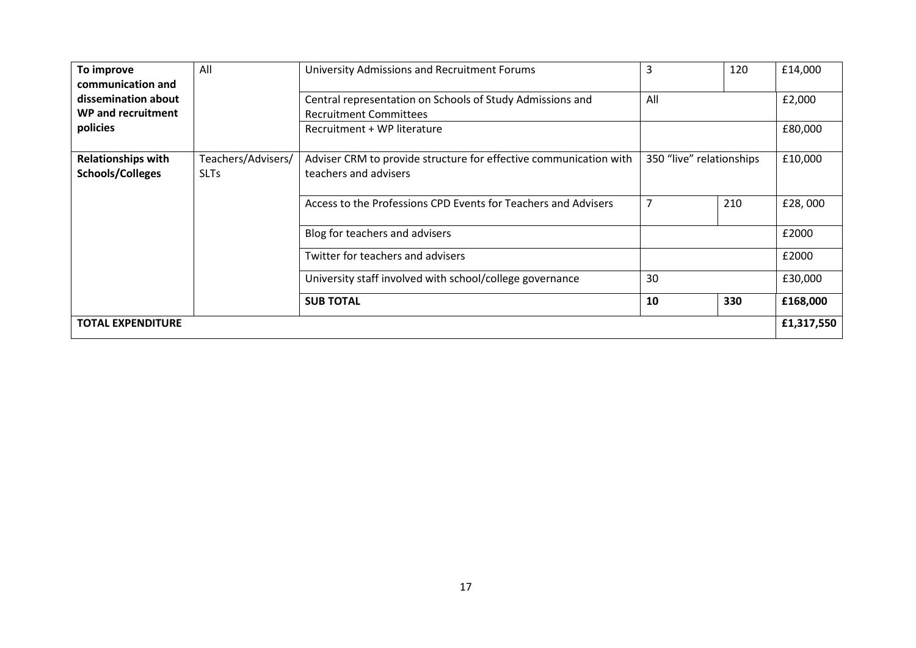| To improve<br>communication and                      | All                               | University Admissions and Recruitment Forums                                               | 3   | 120                      | £14,000  |
|------------------------------------------------------|-----------------------------------|--------------------------------------------------------------------------------------------|-----|--------------------------|----------|
| dissemination about<br>WP and recruitment            |                                   | Central representation on Schools of Study Admissions and<br><b>Recruitment Committees</b> | All |                          |          |
| policies                                             |                                   | Recruitment + WP literature                                                                |     |                          | £80,000  |
| <b>Relationships with</b><br><b>Schools/Colleges</b> | Teachers/Advisers/<br><b>SLTs</b> | Adviser CRM to provide structure for effective communication with<br>teachers and advisers |     | 350 "live" relationships |          |
|                                                      |                                   | Access to the Professions CPD Events for Teachers and Advisers                             | 7   | 210                      | £28,000  |
|                                                      |                                   | Blog for teachers and advisers                                                             |     |                          | £2000    |
|                                                      |                                   | Twitter for teachers and advisers                                                          |     |                          | £2000    |
|                                                      |                                   | University staff involved with school/college governance                                   | 30  |                          | £30,000  |
|                                                      |                                   | <b>SUB TOTAL</b>                                                                           | 10  | 330                      | £168,000 |
| £1,317,550<br>TOTAL EXPENDITURE                      |                                   |                                                                                            |     |                          |          |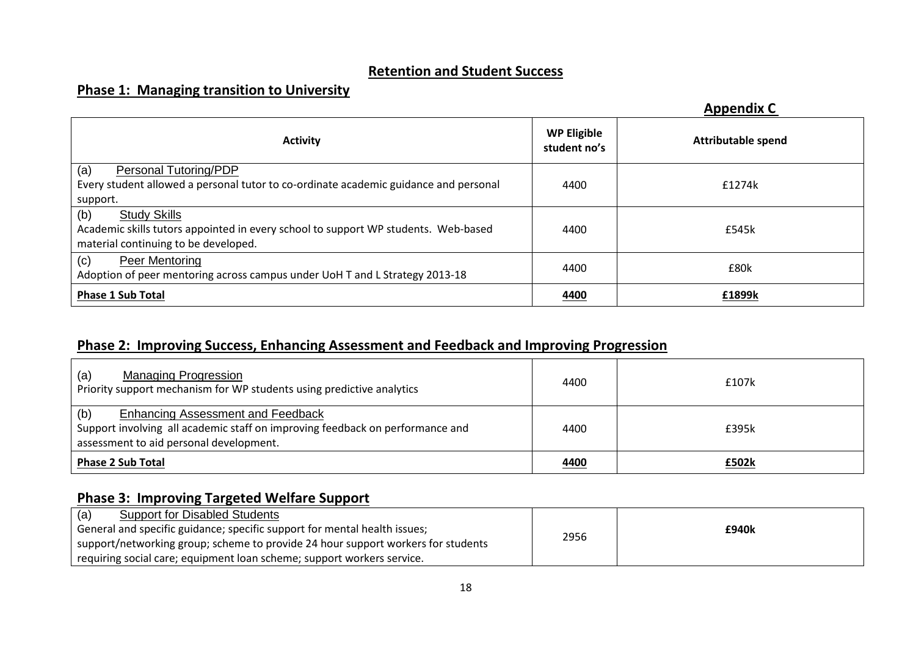# **Retention and Student Success**

# **Phase 1: Managing transition to University**

|                                                                                      |                                    | <b>Appendix C</b>         |
|--------------------------------------------------------------------------------------|------------------------------------|---------------------------|
| <b>Activity</b>                                                                      | <b>WP Eligible</b><br>student no's | <b>Attributable spend</b> |
| (a)<br>Personal Tutoring/PDP                                                         |                                    |                           |
| Every student allowed a personal tutor to co-ordinate academic guidance and personal | 4400                               | £1274k                    |
| support.                                                                             |                                    |                           |
| (b)<br><b>Study Skills</b>                                                           |                                    |                           |
| Academic skills tutors appointed in every school to support WP students. Web-based   | 4400                               | £545k                     |
| material continuing to be developed.                                                 |                                    |                           |
| (c)<br>Peer Mentoring                                                                |                                    |                           |
| Adoption of peer mentoring across campus under UoH T and L Strategy 2013-18          | 4400                               | £80k                      |
| <b>Phase 1 Sub Total</b>                                                             | 4400                               | £1899k                    |

# **Phase 2: Improving Success, Enhancing Assessment and Feedback and Improving Progression**

| <b>Managing Progression</b><br>(a)<br>Priority support mechanism for WP students using predictive analytics                                                                 | 4400 | £107k |
|-----------------------------------------------------------------------------------------------------------------------------------------------------------------------------|------|-------|
| (b)<br><b>Enhancing Assessment and Feedback</b><br>Support involving all academic staff on improving feedback on performance and<br>assessment to aid personal development. | 4400 | £395k |
| <b>Phase 2 Sub Total</b>                                                                                                                                                    | 4400 | £502k |

# **Phase 3: Improving Targeted Welfare Support**

| <b>Support for Disabled Students</b><br>(a)                                      |      |       |
|----------------------------------------------------------------------------------|------|-------|
| General and specific guidance; specific support for mental health issues;        |      | £940k |
| support/networking group; scheme to provide 24 hour support workers for students | 2956 |       |
| requiring social care; equipment loan scheme; support workers service.           |      |       |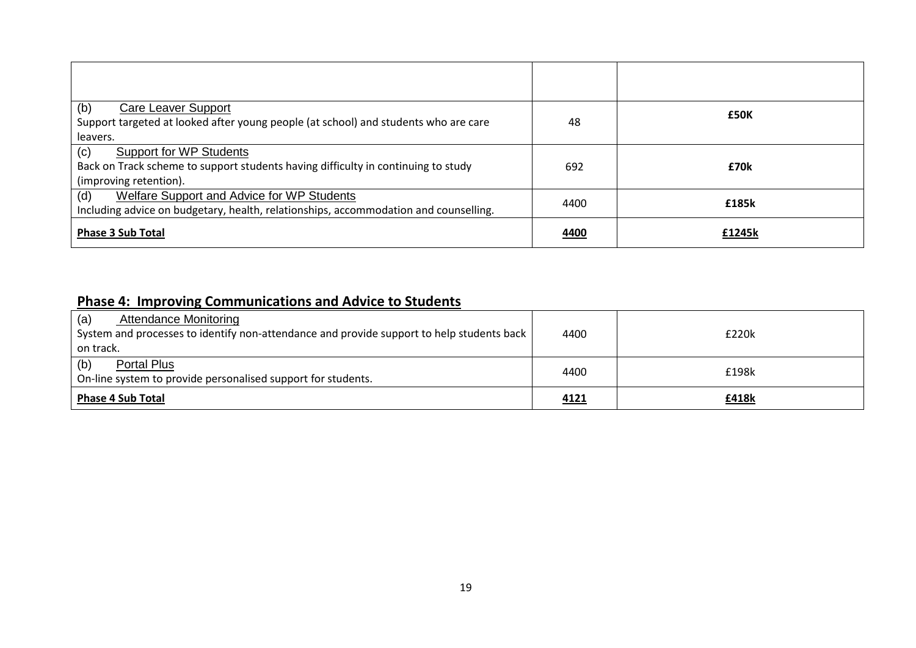| (b)<br>Care Leaver Support<br>Support targeted at looked after young people (at school) and students who are care<br>leavers.                        | 48   | £50K   |
|------------------------------------------------------------------------------------------------------------------------------------------------------|------|--------|
| (c)<br><b>Support for WP Students</b><br>Back on Track scheme to support students having difficulty in continuing to study<br>(improving retention). | 692  | £70k   |
| (d)<br>Welfare Support and Advice for WP Students<br>Including advice on budgetary, health, relationships, accommodation and counselling.            | 4400 | £185k  |
| <b>Phase 3 Sub Total</b>                                                                                                                             | 4400 | £1245k |

# **Phase 4: Improving Communications and Advice to Students**

| <b>Attendance Monitoring</b><br>(a)                                                       |      |       |
|-------------------------------------------------------------------------------------------|------|-------|
| System and processes to identify non-attendance and provide support to help students back | 4400 | £220k |
| on track.                                                                                 |      |       |
| Portal Plus<br>(b)                                                                        | 4400 | £198k |
| On-line system to provide personalised support for students.                              |      |       |
| <b>Phase 4 Sub Total</b>                                                                  | 4121 | £418k |